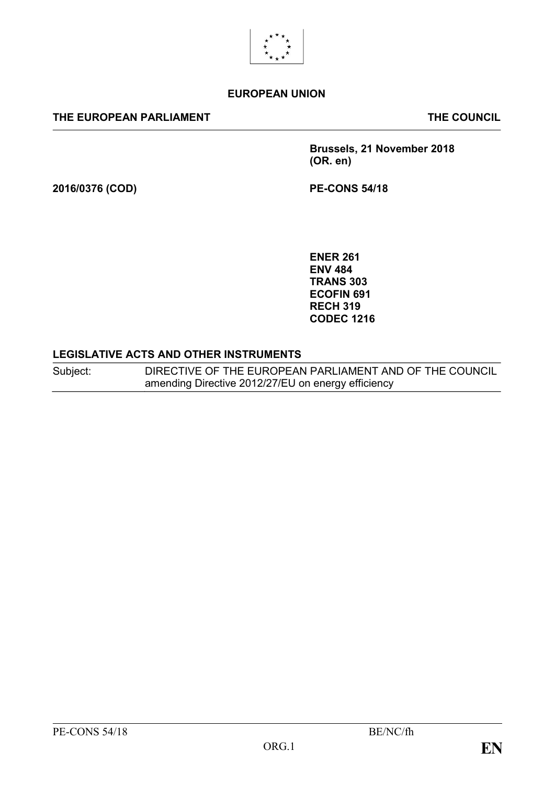

#### **EUROPEAN UNION**

#### **THE EUROPEAN PARLIAMENT THE COUNCIL**

**Brussels, 21 November 2018 (OR. en)**

**2016/0376 (COD) PE-CONS 54/18**

**ENER 261 ENV 484 TRANS 303 ECOFIN 691 RECH 319 CODEC 1216**

#### **LEGISLATIVE ACTS AND OTHER INSTRUMENTS**

Subject: DIRECTIVE OF THE EUROPEAN PARLIAMENT AND OF THE COUNCIL amending Directive 2012/27/EU on energy efficiency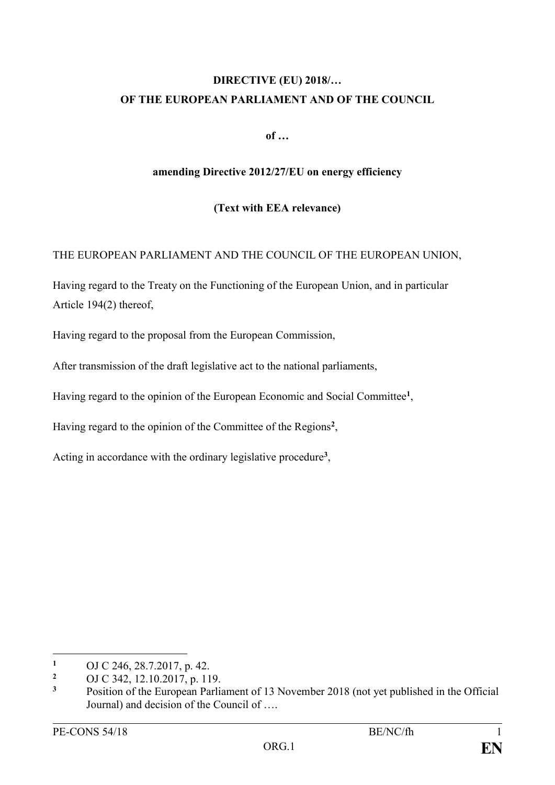# **DIRECTIVE (EU) 2018/… OF THE EUROPEAN PARLIAMENT AND OF THE COUNCIL**

**of …**

#### **amending Directive 2012/27/EU on energy efficiency**

#### **(Text with EEA relevance)**

### THE EUROPEAN PARLIAMENT AND THE COUNCIL OF THE EUROPEAN UNION,

Having regard to the Treaty on the Functioning of the European Union, and in particular Article 194(2) thereof,

Having regard to the proposal from the European Commission,

After transmission of the draft legislative act to the national parliaments,

Having regard to the opinion of the European Economic and Social Committee**<sup>1</sup>** ,

Having regard to the opinion of the Committee of the Regions**<sup>2</sup>** ,

Acting in accordance with the ordinary legislative procedure**<sup>3</sup>** ,

<sup>&</sup>lt;sup>1</sup> OJ C 246, 28.7.2017, p. 42.

<sup>&</sup>lt;sup>2</sup> OJ C 342, 12.10.2017, p. 119.

**<sup>3</sup>** Position of the European Parliament of 13 November 2018 (not yet published in the Official Journal) and decision of the Council of ….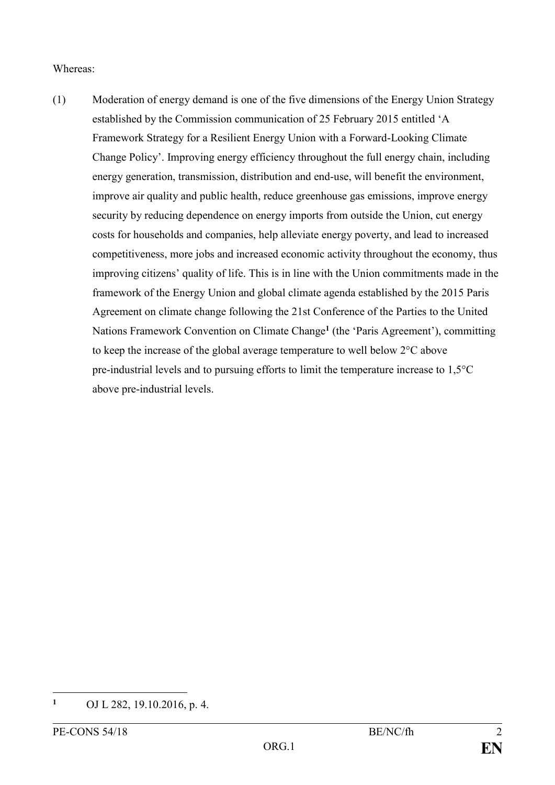#### Whereas:

(1) Moderation of energy demand is one of the five dimensions of the Energy Union Strategy established by the Commission communication of 25 February 2015 entitled 'A Framework Strategy for a Resilient Energy Union with a Forward-Looking Climate Change Policy'. Improving energy efficiency throughout the full energy chain, including energy generation, transmission, distribution and end-use, will benefit the environment, improve air quality and public health, reduce greenhouse gas emissions, improve energy security by reducing dependence on energy imports from outside the Union, cut energy costs for households and companies, help alleviate energy poverty, and lead to increased competitiveness, more jobs and increased economic activity throughout the economy, thus improving citizens' quality of life. This is in line with the Union commitments made in the framework of the Energy Union and global climate agenda established by the 2015 Paris Agreement on climate change following the 21st Conference of the Parties to the United Nations Framework Convention on Climate Change**<sup>1</sup>** (the 'Paris Agreement'), committing to keep the increase of the global average temperature to well below 2°C above pre-industrial levels and to pursuing efforts to limit the temperature increase to 1,5°C above pre-industrial levels.

**<sup>1</sup>** OJ L 282, 19.10.2016, p. 4.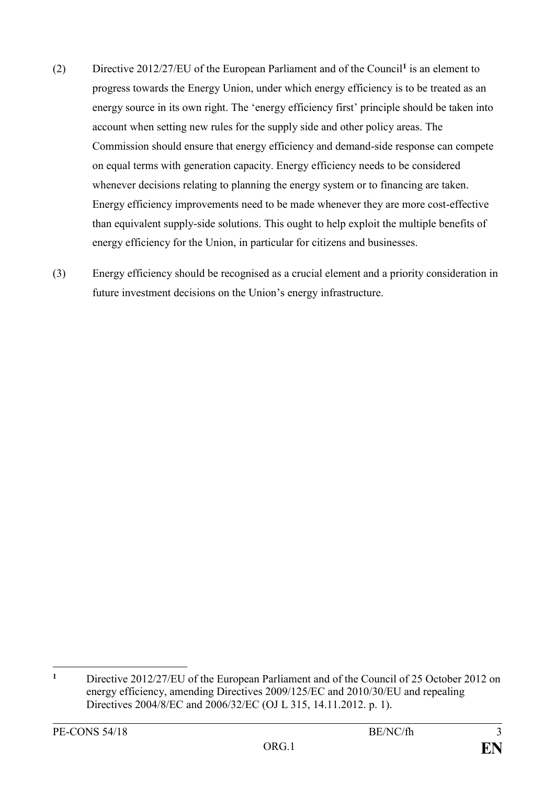- (2) Directive 2012/27/EU of the European Parliament and of the Council**<sup>1</sup>** is an element to progress towards the Energy Union, under which energy efficiency is to be treated as an energy source in its own right. The 'energy efficiency first' principle should be taken into account when setting new rules for the supply side and other policy areas. The Commission should ensure that energy efficiency and demand-side response can compete on equal terms with generation capacity. Energy efficiency needs to be considered whenever decisions relating to planning the energy system or to financing are taken. Energy efficiency improvements need to be made whenever they are more cost-effective than equivalent supply-side solutions. This ought to help exploit the multiple benefits of energy efficiency for the Union, in particular for citizens and businesses.
- (3) Energy efficiency should be recognised as a crucial element and a priority consideration in future investment decisions on the Union's energy infrastructure.

<u>.</u>

**<sup>1</sup>** Directive 2012/27/EU of the European Parliament and of the Council of 25 October 2012 on energy efficiency, amending Directives 2009/125/EC and 2010/30/EU and repealing Directives 2004/8/EC and 2006/32/EC (OJ L 315, 14.11.2012. p. 1).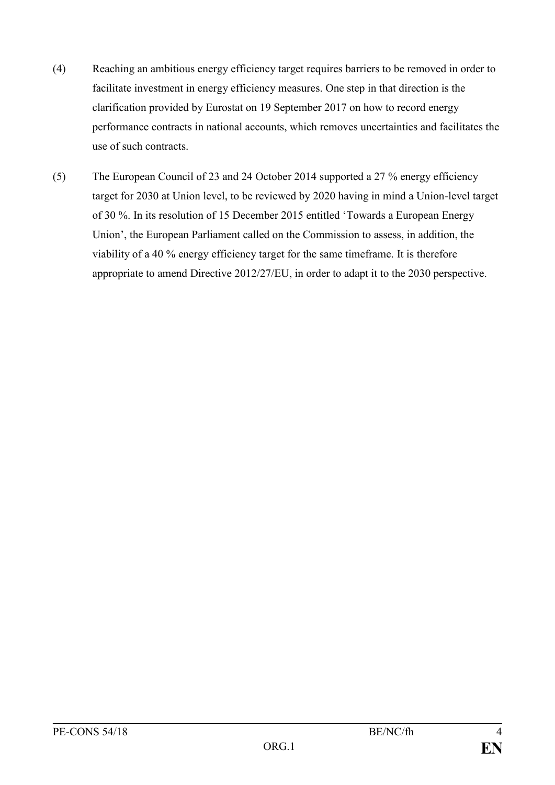- (4) Reaching an ambitious energy efficiency target requires barriers to be removed in order to facilitate investment in energy efficiency measures. One step in that direction is the clarification provided by Eurostat on 19 September 2017 on how to record energy performance contracts in national accounts, which removes uncertainties and facilitates the use of such contracts.
- (5) The European Council of 23 and 24 October 2014 supported a 27 % energy efficiency target for 2030 at Union level, to be reviewed by 2020 having in mind a Union-level target of 30 %. In its resolution of 15 December 2015 entitled 'Towards a European Energy Union', the European Parliament called on the Commission to assess, in addition, the viability of a 40 % energy efficiency target for the same timeframe. It is therefore appropriate to amend Directive 2012/27/EU, in order to adapt it to the 2030 perspective.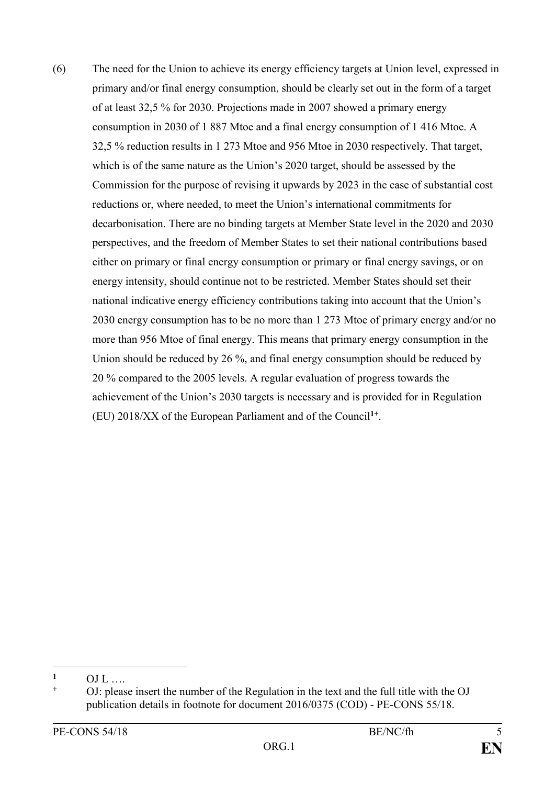(6) The need for the Union to achieve its energy efficiency targets at Union level, expressed in primary and/or final energy consumption, should be clearly set out in the form of a target of at least 32,5 % for 2030. Projections made in 2007 showed a primary energy consumption in 2030 of 1 887 Mtoe and a final energy consumption of 1 416 Mtoe. A 32,5 % reduction results in 1 273 Mtoe and 956 Mtoe in 2030 respectively. That target, which is of the same nature as the Union's 2020 target, should be assessed by the Commission for the purpose of revising it upwards by 2023 in the case of substantial cost reductions or, where needed, to meet the Union's international commitments for decarbonisation. There are no binding targets at Member State level in the 2020 and 2030 perspectives, and the freedom of Member States to set their national contributions based either on primary or final energy consumption or primary or final energy savings, or on energy intensity, should continue not to be restricted. Member States should set their national indicative energy efficiency contributions taking into account that the Union's 2030 energy consumption has to be no more than 1 273 Mtoe of primary energy and/or no more than 956 Mtoe of final energy. This means that primary energy consumption in the Union should be reduced by 26 %, and final energy consumption should be reduced by 20 % compared to the 2005 levels. A regular evaluation of progress towards the achievement of the Union's 2030 targets is necessary and is provided for in Regulation (EU) 2018/XX of the European Parliament and of the Council**1+** .

<sup>&</sup>lt;u>.</u>  $\frac{1}{1}$  OJ L ….

**<sup>+</sup>** OJ: please insert the number of the Regulation in the text and the full title with the OJ publication details in footnote for document 2016/0375 (COD) - PE-CONS 55/18.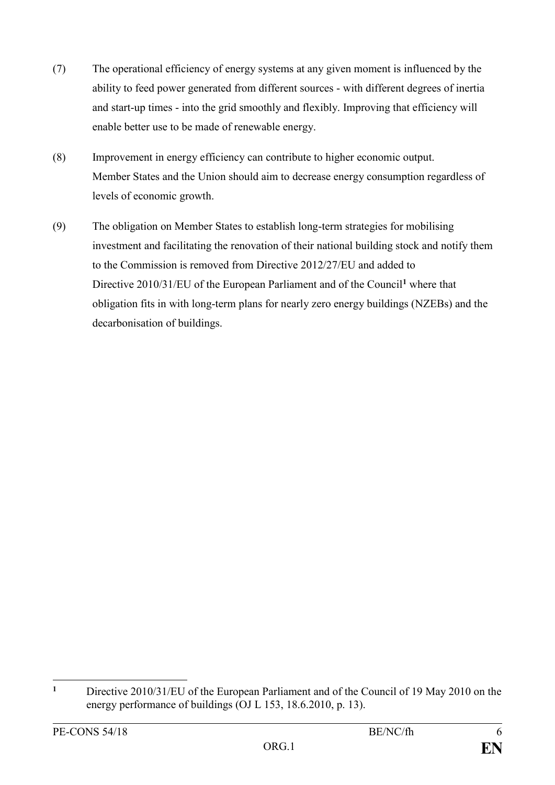- (7) The operational efficiency of energy systems at any given moment is influenced by the ability to feed power generated from different sources - with different degrees of inertia and start-up times - into the grid smoothly and flexibly. Improving that efficiency will enable better use to be made of renewable energy.
- (8) Improvement in energy efficiency can contribute to higher economic output. Member States and the Union should aim to decrease energy consumption regardless of levels of economic growth.
- (9) The obligation on Member States to establish long-term strategies for mobilising investment and facilitating the renovation of their national building stock and notify them to the Commission is removed from Directive 2012/27/EU and added to Directive 2010/31/EU of the European Parliament and of the Council**<sup>1</sup>** where that obligation fits in with long-term plans for nearly zero energy buildings (NZEBs) and the decarbonisation of buildings.

 $\mathbf{1}$ **<sup>1</sup>** Directive 2010/31/EU of the European Parliament and of the Council of 19 May 2010 on the energy performance of buildings (OJ L 153, 18.6.2010, p. 13).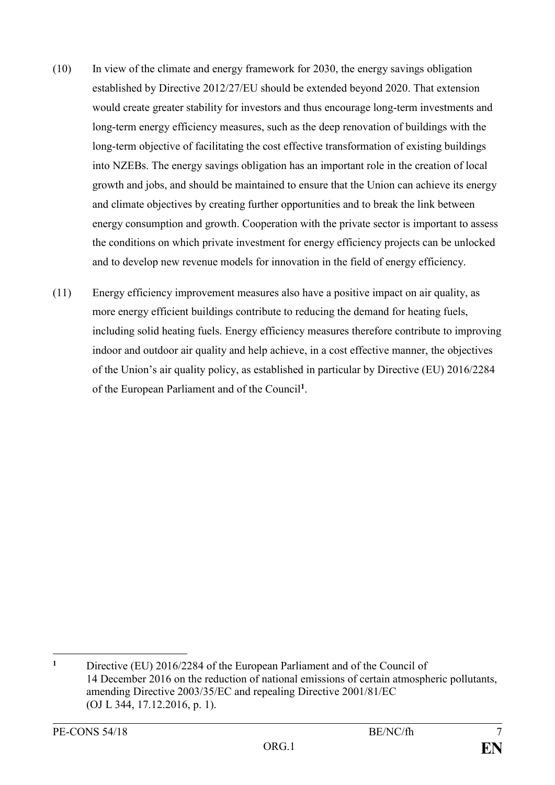- (10) In view of the climate and energy framework for 2030, the energy savings obligation established by Directive 2012/27/EU should be extended beyond 2020. That extension would create greater stability for investors and thus encourage long-term investments and long-term energy efficiency measures, such as the deep renovation of buildings with the long-term objective of facilitating the cost effective transformation of existing buildings into NZEBs. The energy savings obligation has an important role in the creation of local growth and jobs, and should be maintained to ensure that the Union can achieve its energy and climate objectives by creating further opportunities and to break the link between energy consumption and growth. Cooperation with the private sector is important to assess the conditions on which private investment for energy efficiency projects can be unlocked and to develop new revenue models for innovation in the field of energy efficiency.
- (11) Energy efficiency improvement measures also have a positive impact on air quality, as more energy efficient buildings contribute to reducing the demand for heating fuels, including solid heating fuels. Energy efficiency measures therefore contribute to improving indoor and outdoor air quality and help achieve, in a cost effective manner, the objectives of the Union's air quality policy, as established in particular by Directive (EU) 2016/2284 of the European Parliament and of the Council**<sup>1</sup>** .

<sup>1</sup> **<sup>1</sup>** Directive (EU) 2016/2284 of the European Parliament and of the Council of 14 December 2016 on the reduction of national emissions of certain atmospheric pollutants, amending Directive 2003/35/EC and repealing Directive 2001/81/EC (OJ L 344, 17.12.2016, p. 1).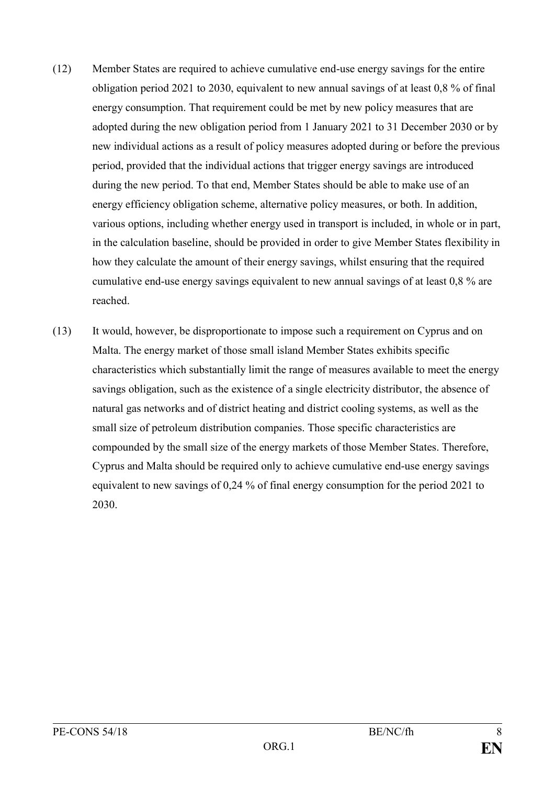- (12) Member States are required to achieve cumulative end-use energy savings for the entire obligation period 2021 to 2030, equivalent to new annual savings of at least 0,8 % of final energy consumption. That requirement could be met by new policy measures that are adopted during the new obligation period from 1 January 2021 to 31 December 2030 or by new individual actions as a result of policy measures adopted during or before the previous period, provided that the individual actions that trigger energy savings are introduced during the new period. To that end, Member States should be able to make use of an energy efficiency obligation scheme, alternative policy measures, or both. In addition, various options, including whether energy used in transport is included, in whole or in part, in the calculation baseline, should be provided in order to give Member States flexibility in how they calculate the amount of their energy savings, whilst ensuring that the required cumulative end-use energy savings equivalent to new annual savings of at least 0,8 % are reached.
- (13) It would, however, be disproportionate to impose such a requirement on Cyprus and on Malta. The energy market of those small island Member States exhibits specific characteristics which substantially limit the range of measures available to meet the energy savings obligation, such as the existence of a single electricity distributor, the absence of natural gas networks and of district heating and district cooling systems, as well as the small size of petroleum distribution companies. Those specific characteristics are compounded by the small size of the energy markets of those Member States. Therefore, Cyprus and Malta should be required only to achieve cumulative end-use energy savings equivalent to new savings of 0,24 % of final energy consumption for the period 2021 to 2030.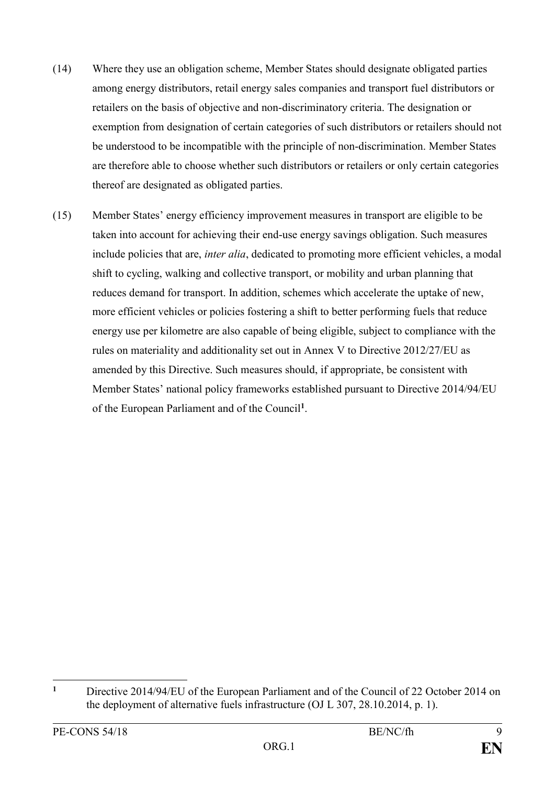- (14) Where they use an obligation scheme, Member States should designate obligated parties among energy distributors, retail energy sales companies and transport fuel distributors or retailers on the basis of objective and non-discriminatory criteria. The designation or exemption from designation of certain categories of such distributors or retailers should not be understood to be incompatible with the principle of non-discrimination. Member States are therefore able to choose whether such distributors or retailers or only certain categories thereof are designated as obligated parties.
- (15) Member States' energy efficiency improvement measures in transport are eligible to be taken into account for achieving their end-use energy savings obligation. Such measures include policies that are, *inter alia*, dedicated to promoting more efficient vehicles, a modal shift to cycling, walking and collective transport, or mobility and urban planning that reduces demand for transport. In addition, schemes which accelerate the uptake of new, more efficient vehicles or policies fostering a shift to better performing fuels that reduce energy use per kilometre are also capable of being eligible, subject to compliance with the rules on materiality and additionality set out in Annex V to Directive 2012/27/EU as amended by this Directive. Such measures should, if appropriate, be consistent with Member States' national policy frameworks established pursuant to Directive 2014/94/EU of the European Parliament and of the Council**<sup>1</sup>** .

 $\mathbf{1}$ **<sup>1</sup>** Directive 2014/94/EU of the European Parliament and of the Council of 22 October 2014 on the deployment of alternative fuels infrastructure (OJ L 307, 28.10.2014, p. 1).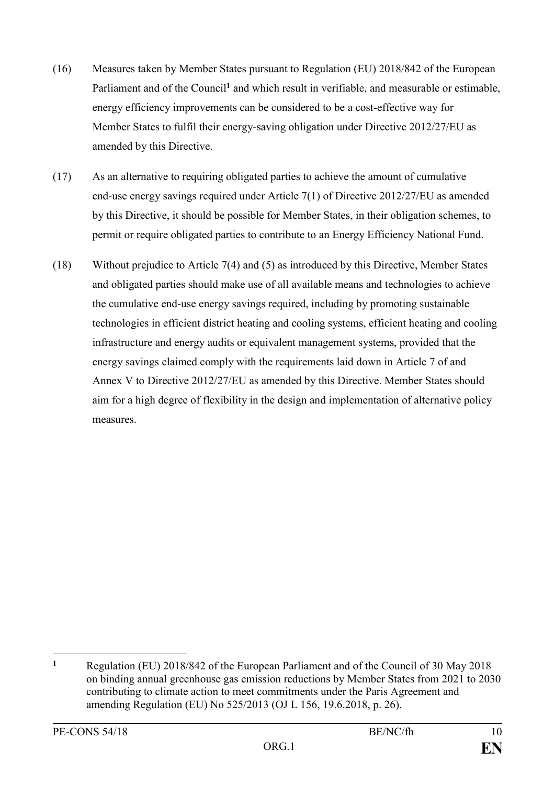- (16) Measures taken by Member States pursuant to Regulation (EU) 2018/842 of the European Parliament and of the Council<sup>1</sup> and which result in verifiable, and measurable or estimable, energy efficiency improvements can be considered to be a cost-effective way for Member States to fulfil their energy-saving obligation under Directive 2012/27/EU as amended by this Directive.
- (17) As an alternative to requiring obligated parties to achieve the amount of cumulative end-use energy savings required under Article 7(1) of Directive 2012/27/EU as amended by this Directive, it should be possible for Member States, in their obligation schemes, to permit or require obligated parties to contribute to an Energy Efficiency National Fund.
- (18) Without prejudice to Article 7(4) and (5) as introduced by this Directive, Member States and obligated parties should make use of all available means and technologies to achieve the cumulative end-use energy savings required, including by promoting sustainable technologies in efficient district heating and cooling systems, efficient heating and cooling infrastructure and energy audits or equivalent management systems, provided that the energy savings claimed comply with the requirements laid down in Article 7 of and Annex V to Directive 2012/27/EU as amended by this Directive. Member States should aim for a high degree of flexibility in the design and implementation of alternative policy measures.

<sup>1</sup> **<sup>1</sup>** Regulation (EU) 2018/842 of the European Parliament and of the Council of 30 May 2018 on binding annual greenhouse gas emission reductions by Member States from 2021 to 2030 contributing to climate action to meet commitments under the Paris Agreement and amending Regulation (EU) No 525/2013 (OJ L 156, 19.6.2018, p. 26).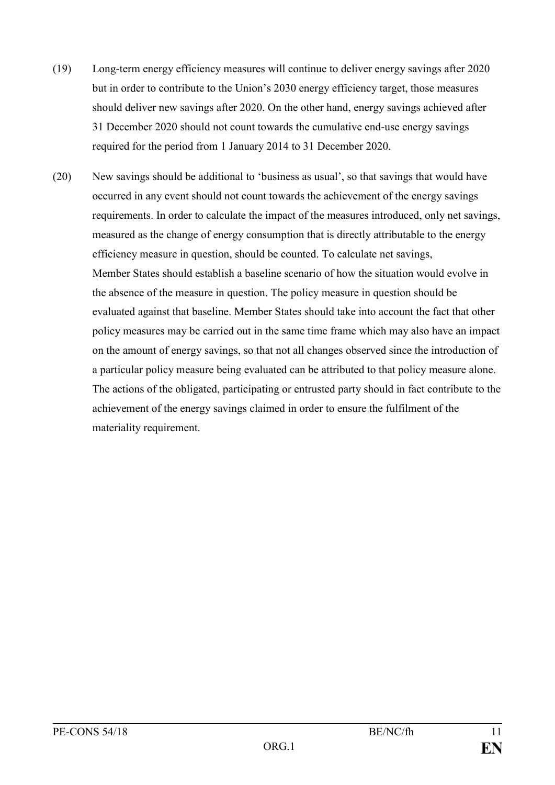- (19) Long-term energy efficiency measures will continue to deliver energy savings after 2020 but in order to contribute to the Union's 2030 energy efficiency target, those measures should deliver new savings after 2020. On the other hand, energy savings achieved after 31 December 2020 should not count towards the cumulative end-use energy savings required for the period from 1 January 2014 to 31 December 2020.
- (20) New savings should be additional to 'business as usual', so that savings that would have occurred in any event should not count towards the achievement of the energy savings requirements. In order to calculate the impact of the measures introduced, only net savings, measured as the change of energy consumption that is directly attributable to the energy efficiency measure in question, should be counted. To calculate net savings, Member States should establish a baseline scenario of how the situation would evolve in the absence of the measure in question. The policy measure in question should be evaluated against that baseline. Member States should take into account the fact that other policy measures may be carried out in the same time frame which may also have an impact on the amount of energy savings, so that not all changes observed since the introduction of a particular policy measure being evaluated can be attributed to that policy measure alone. The actions of the obligated, participating or entrusted party should in fact contribute to the achievement of the energy savings claimed in order to ensure the fulfilment of the materiality requirement.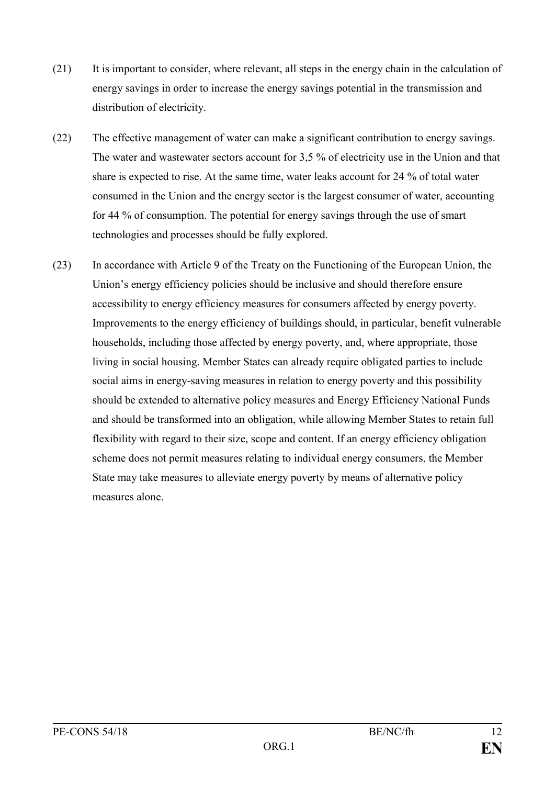- (21) It is important to consider, where relevant, all steps in the energy chain in the calculation of energy savings in order to increase the energy savings potential in the transmission and distribution of electricity.
- (22) The effective management of water can make a significant contribution to energy savings. The water and wastewater sectors account for 3,5 % of electricity use in the Union and that share is expected to rise. At the same time, water leaks account for 24 % of total water consumed in the Union and the energy sector is the largest consumer of water, accounting for 44 % of consumption. The potential for energy savings through the use of smart technologies and processes should be fully explored.
- (23) In accordance with Article 9 of the Treaty on the Functioning of the European Union, the Union's energy efficiency policies should be inclusive and should therefore ensure accessibility to energy efficiency measures for consumers affected by energy poverty. Improvements to the energy efficiency of buildings should, in particular, benefit vulnerable households, including those affected by energy poverty, and, where appropriate, those living in social housing. Member States can already require obligated parties to include social aims in energy-saving measures in relation to energy poverty and this possibility should be extended to alternative policy measures and Energy Efficiency National Funds and should be transformed into an obligation, while allowing Member States to retain full flexibility with regard to their size, scope and content. If an energy efficiency obligation scheme does not permit measures relating to individual energy consumers, the Member State may take measures to alleviate energy poverty by means of alternative policy measures alone.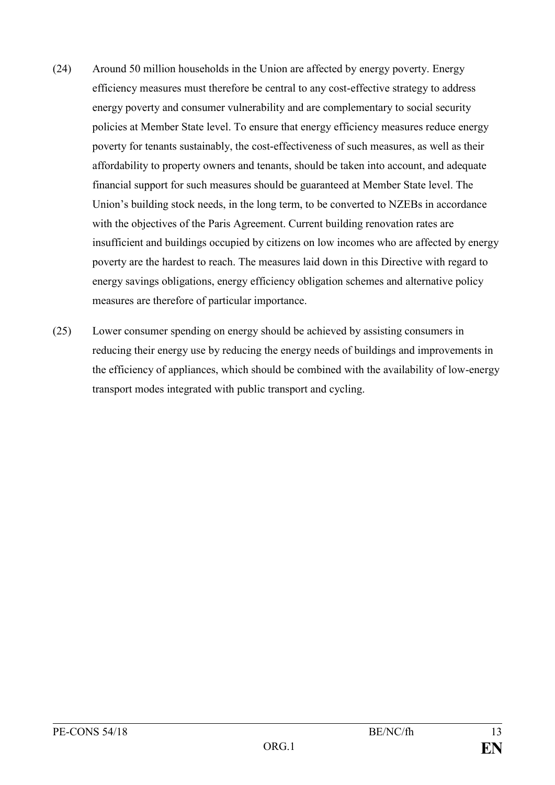- (24) Around 50 million households in the Union are affected by energy poverty. Energy efficiency measures must therefore be central to any cost-effective strategy to address energy poverty and consumer vulnerability and are complementary to social security policies at Member State level. To ensure that energy efficiency measures reduce energy poverty for tenants sustainably, the cost-effectiveness of such measures, as well as their affordability to property owners and tenants, should be taken into account, and adequate financial support for such measures should be guaranteed at Member State level. The Union's building stock needs, in the long term, to be converted to NZEBs in accordance with the objectives of the Paris Agreement. Current building renovation rates are insufficient and buildings occupied by citizens on low incomes who are affected by energy poverty are the hardest to reach. The measures laid down in this Directive with regard to energy savings obligations, energy efficiency obligation schemes and alternative policy measures are therefore of particular importance.
- (25) Lower consumer spending on energy should be achieved by assisting consumers in reducing their energy use by reducing the energy needs of buildings and improvements in the efficiency of appliances, which should be combined with the availability of low-energy transport modes integrated with public transport and cycling.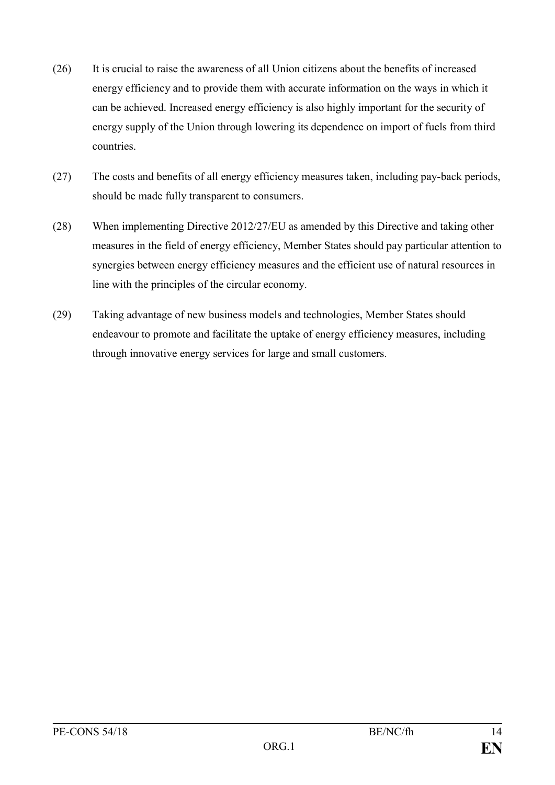- (26) It is crucial to raise the awareness of all Union citizens about the benefits of increased energy efficiency and to provide them with accurate information on the ways in which it can be achieved. Increased energy efficiency is also highly important for the security of energy supply of the Union through lowering its dependence on import of fuels from third countries.
- (27) The costs and benefits of all energy efficiency measures taken, including pay-back periods, should be made fully transparent to consumers.
- (28) When implementing Directive 2012/27/EU as amended by this Directive and taking other measures in the field of energy efficiency, Member States should pay particular attention to synergies between energy efficiency measures and the efficient use of natural resources in line with the principles of the circular economy.
- (29) Taking advantage of new business models and technologies, Member States should endeavour to promote and facilitate the uptake of energy efficiency measures, including through innovative energy services for large and small customers.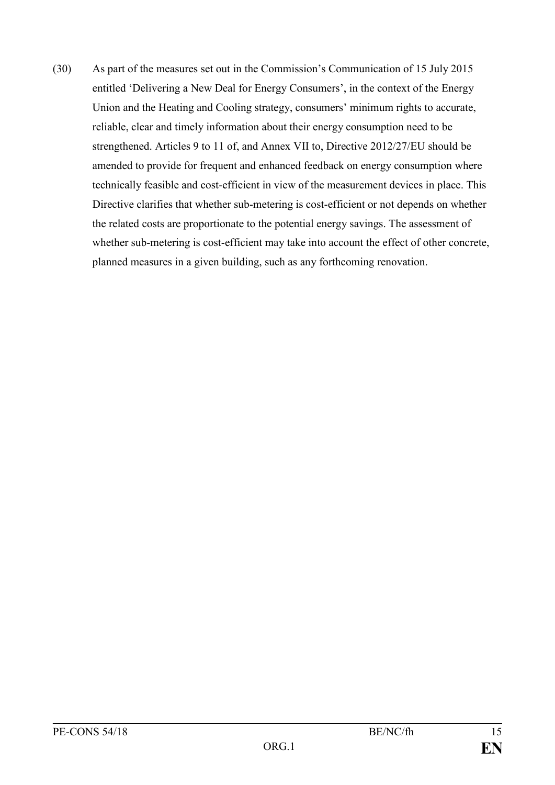(30) As part of the measures set out in the Commission's Communication of 15 July 2015 entitled 'Delivering a New Deal for Energy Consumers', in the context of the Energy Union and the Heating and Cooling strategy, consumers' minimum rights to accurate, reliable, clear and timely information about their energy consumption need to be strengthened. Articles 9 to 11 of, and Annex VII to, Directive 2012/27/EU should be amended to provide for frequent and enhanced feedback on energy consumption where technically feasible and cost-efficient in view of the measurement devices in place. This Directive clarifies that whether sub-metering is cost-efficient or not depends on whether the related costs are proportionate to the potential energy savings. The assessment of whether sub-metering is cost-efficient may take into account the effect of other concrete, planned measures in a given building, such as any forthcoming renovation.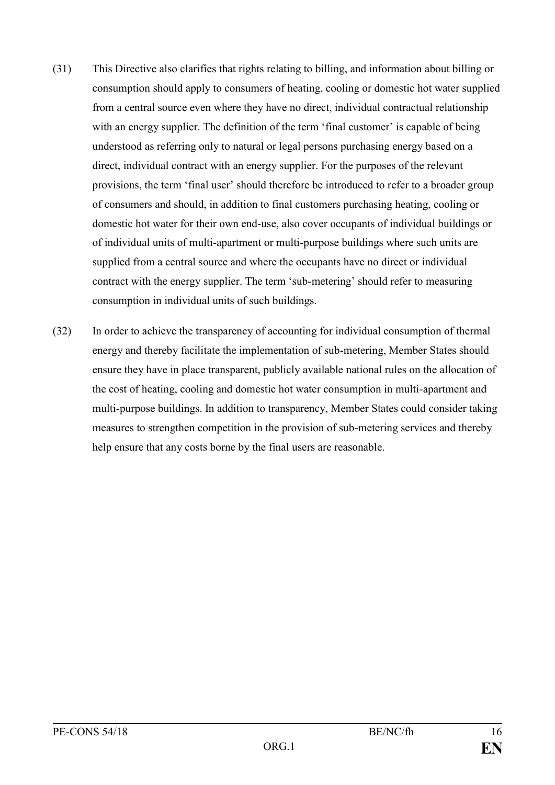- (31) This Directive also clarifies that rights relating to billing, and information about billing or consumption should apply to consumers of heating, cooling or domestic hot water supplied from a central source even where they have no direct, individual contractual relationship with an energy supplier. The definition of the term 'final customer' is capable of being understood as referring only to natural or legal persons purchasing energy based on a direct, individual contract with an energy supplier. For the purposes of the relevant provisions, the term 'final user' should therefore be introduced to refer to a broader group of consumers and should, in addition to final customers purchasing heating, cooling or domestic hot water for their own end-use, also cover occupants of individual buildings or of individual units of multi-apartment or multi-purpose buildings where such units are supplied from a central source and where the occupants have no direct or individual contract with the energy supplier. The term 'sub-metering' should refer to measuring consumption in individual units of such buildings.
- (32) In order to achieve the transparency of accounting for individual consumption of thermal energy and thereby facilitate the implementation of sub-metering, Member States should ensure they have in place transparent, publicly available national rules on the allocation of the cost of heating, cooling and domestic hot water consumption in multi-apartment and multi-purpose buildings. In addition to transparency, Member States could consider taking measures to strengthen competition in the provision of sub-metering services and thereby help ensure that any costs borne by the final users are reasonable.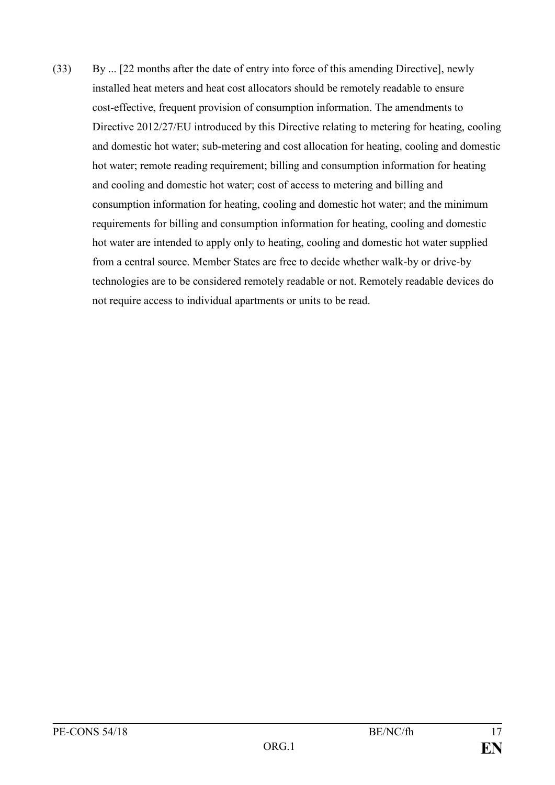(33) By ... [22 months after the date of entry into force of this amending Directive], newly installed heat meters and heat cost allocators should be remotely readable to ensure cost-effective, frequent provision of consumption information. The amendments to Directive 2012/27/EU introduced by this Directive relating to metering for heating, cooling and domestic hot water; sub-metering and cost allocation for heating, cooling and domestic hot water; remote reading requirement; billing and consumption information for heating and cooling and domestic hot water; cost of access to metering and billing and consumption information for heating, cooling and domestic hot water; and the minimum requirements for billing and consumption information for heating, cooling and domestic hot water are intended to apply only to heating, cooling and domestic hot water supplied from a central source. Member States are free to decide whether walk-by or drive-by technologies are to be considered remotely readable or not. Remotely readable devices do not require access to individual apartments or units to be read.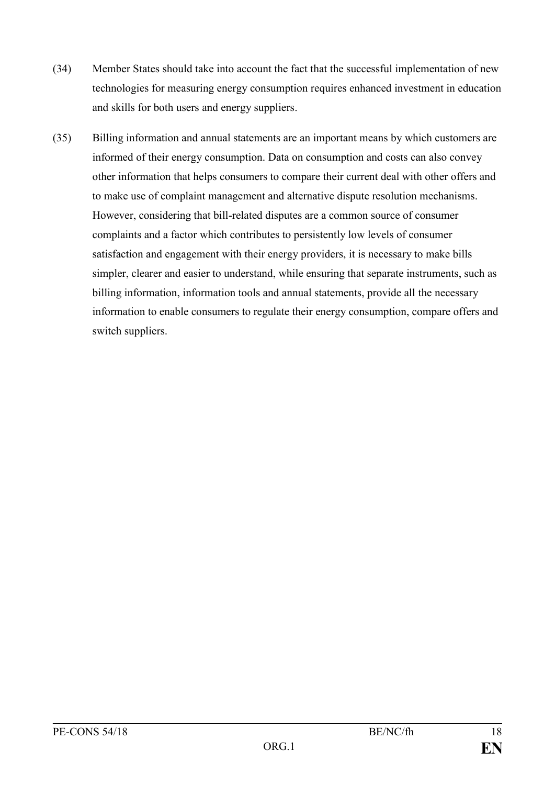- (34) Member States should take into account the fact that the successful implementation of new technologies for measuring energy consumption requires enhanced investment in education and skills for both users and energy suppliers.
- (35) Billing information and annual statements are an important means by which customers are informed of their energy consumption. Data on consumption and costs can also convey other information that helps consumers to compare their current deal with other offers and to make use of complaint management and alternative dispute resolution mechanisms. However, considering that bill-related disputes are a common source of consumer complaints and a factor which contributes to persistently low levels of consumer satisfaction and engagement with their energy providers, it is necessary to make bills simpler, clearer and easier to understand, while ensuring that separate instruments, such as billing information, information tools and annual statements, provide all the necessary information to enable consumers to regulate their energy consumption, compare offers and switch suppliers.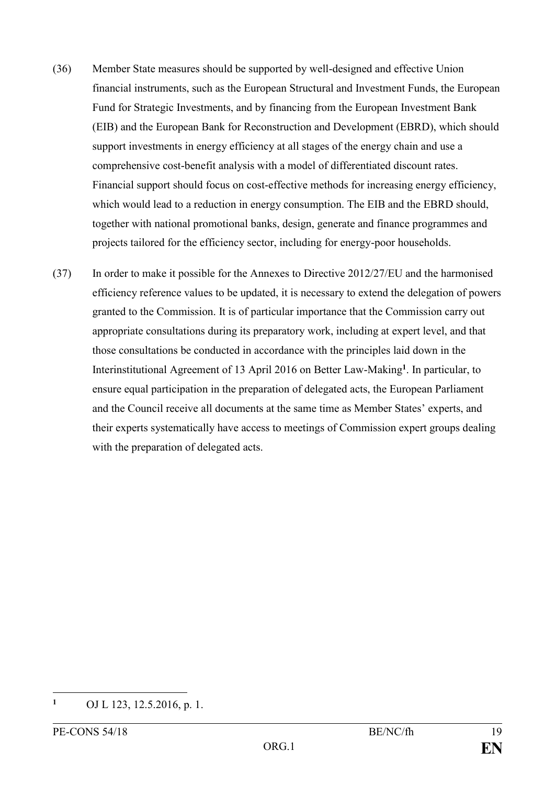- (36) Member State measures should be supported by well-designed and effective Union financial instruments, such as the European Structural and Investment Funds, the European Fund for Strategic Investments, and by financing from the European Investment Bank (EIB) and the European Bank for Reconstruction and Development (EBRD), which should support investments in energy efficiency at all stages of the energy chain and use a comprehensive cost-benefit analysis with a model of differentiated discount rates. Financial support should focus on cost-effective methods for increasing energy efficiency, which would lead to a reduction in energy consumption. The EIB and the EBRD should, together with national promotional banks, design, generate and finance programmes and projects tailored for the efficiency sector, including for energy-poor households.
- (37) In order to make it possible for the Annexes to Directive 2012/27/EU and the harmonised efficiency reference values to be updated, it is necessary to extend the delegation of powers granted to the Commission. It is of particular importance that the Commission carry out appropriate consultations during its preparatory work, including at expert level, and that those consultations be conducted in accordance with the principles laid down in the Interinstitutional Agreement of 13 April 2016 on Better Law-Making**<sup>1</sup>** . In particular, to ensure equal participation in the preparation of delegated acts, the European Parliament and the Council receive all documents at the same time as Member States' experts, and their experts systematically have access to meetings of Commission expert groups dealing with the preparation of delegated acts.

**<sup>1</sup>** OJ L 123, 12.5.2016, p. 1.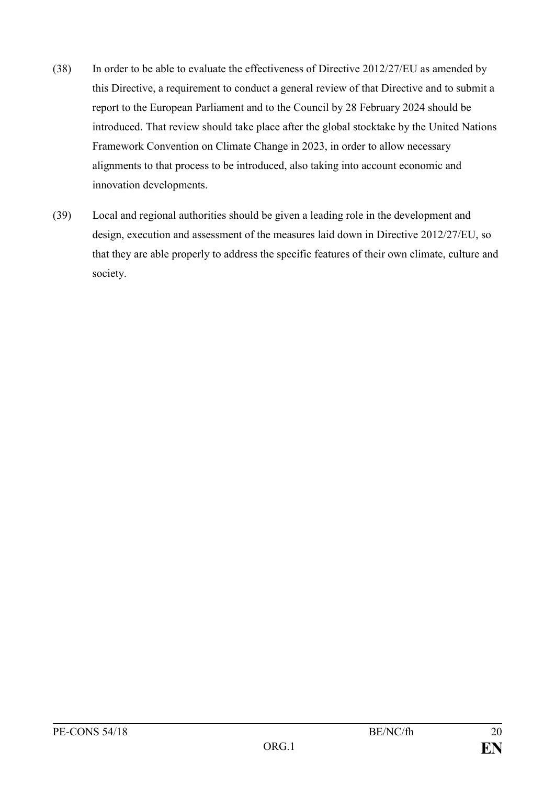- (38) In order to be able to evaluate the effectiveness of Directive 2012/27/EU as amended by this Directive, a requirement to conduct a general review of that Directive and to submit a report to the European Parliament and to the Council by 28 February 2024 should be introduced. That review should take place after the global stocktake by the United Nations Framework Convention on Climate Change in 2023, in order to allow necessary alignments to that process to be introduced, also taking into account economic and innovation developments.
- (39) Local and regional authorities should be given a leading role in the development and design, execution and assessment of the measures laid down in Directive 2012/27/EU, so that they are able properly to address the specific features of their own climate, culture and society.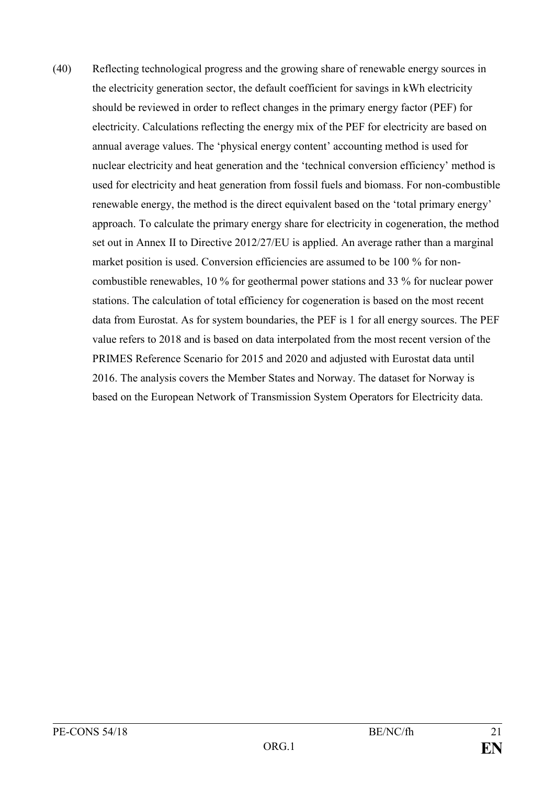(40) Reflecting technological progress and the growing share of renewable energy sources in the electricity generation sector, the default coefficient for savings in kWh electricity should be reviewed in order to reflect changes in the primary energy factor (PEF) for electricity. Calculations reflecting the energy mix of the PEF for electricity are based on annual average values. The 'physical energy content' accounting method is used for nuclear electricity and heat generation and the 'technical conversion efficiency' method is used for electricity and heat generation from fossil fuels and biomass. For non-combustible renewable energy, the method is the direct equivalent based on the 'total primary energy' approach. To calculate the primary energy share for electricity in cogeneration, the method set out in Annex II to Directive 2012/27/EU is applied. An average rather than a marginal market position is used. Conversion efficiencies are assumed to be 100 % for noncombustible renewables, 10 % for geothermal power stations and 33 % for nuclear power stations. The calculation of total efficiency for cogeneration is based on the most recent data from Eurostat. As for system boundaries, the PEF is 1 for all energy sources. The PEF value refers to 2018 and is based on data interpolated from the most recent version of the PRIMES Reference Scenario for 2015 and 2020 and adjusted with Eurostat data until 2016. The analysis covers the Member States and Norway. The dataset for Norway is based on the European Network of Transmission System Operators for Electricity data.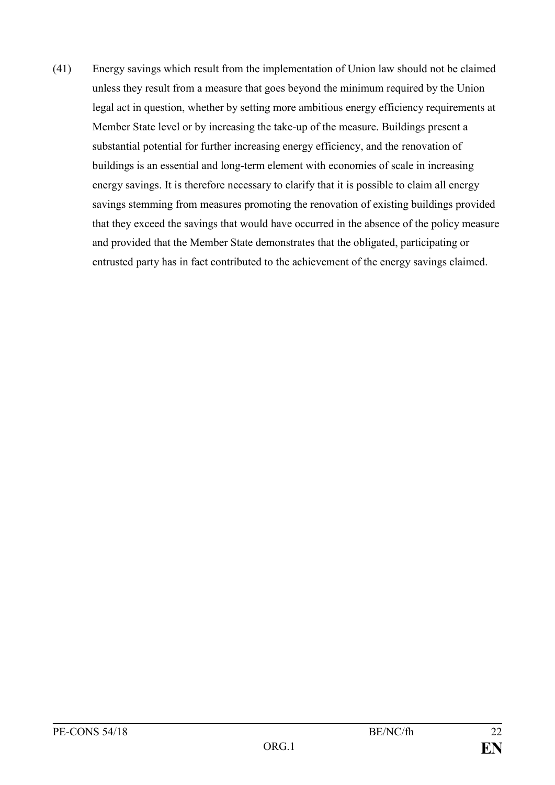(41) Energy savings which result from the implementation of Union law should not be claimed unless they result from a measure that goes beyond the minimum required by the Union legal act in question, whether by setting more ambitious energy efficiency requirements at Member State level or by increasing the take-up of the measure. Buildings present a substantial potential for further increasing energy efficiency, and the renovation of buildings is an essential and long-term element with economies of scale in increasing energy savings. It is therefore necessary to clarify that it is possible to claim all energy savings stemming from measures promoting the renovation of existing buildings provided that they exceed the savings that would have occurred in the absence of the policy measure and provided that the Member State demonstrates that the obligated, participating or entrusted party has in fact contributed to the achievement of the energy savings claimed.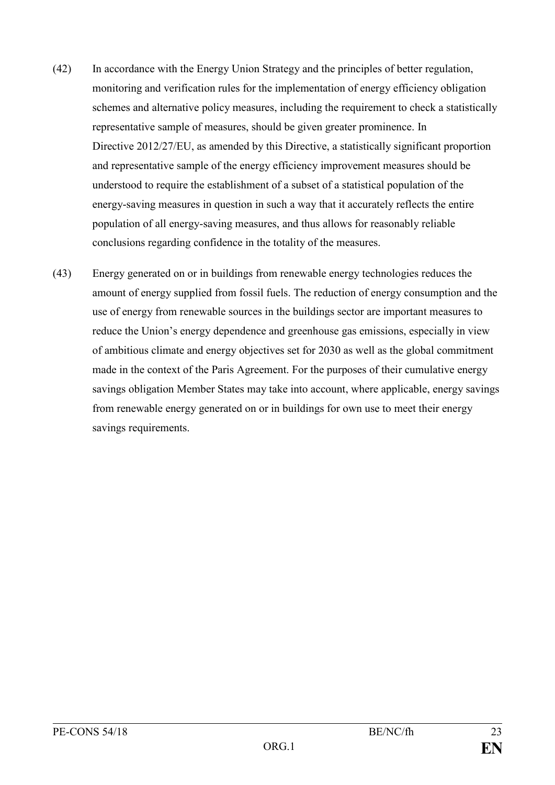- (42) In accordance with the Energy Union Strategy and the principles of better regulation, monitoring and verification rules for the implementation of energy efficiency obligation schemes and alternative policy measures, including the requirement to check a statistically representative sample of measures, should be given greater prominence. In Directive 2012/27/EU, as amended by this Directive, a statistically significant proportion and representative sample of the energy efficiency improvement measures should be understood to require the establishment of a subset of a statistical population of the energy-saving measures in question in such a way that it accurately reflects the entire population of all energy-saving measures, and thus allows for reasonably reliable conclusions regarding confidence in the totality of the measures.
- (43) Energy generated on or in buildings from renewable energy technologies reduces the amount of energy supplied from fossil fuels. The reduction of energy consumption and the use of energy from renewable sources in the buildings sector are important measures to reduce the Union's energy dependence and greenhouse gas emissions, especially in view of ambitious climate and energy objectives set for 2030 as well as the global commitment made in the context of the Paris Agreement. For the purposes of their cumulative energy savings obligation Member States may take into account, where applicable, energy savings from renewable energy generated on or in buildings for own use to meet their energy savings requirements.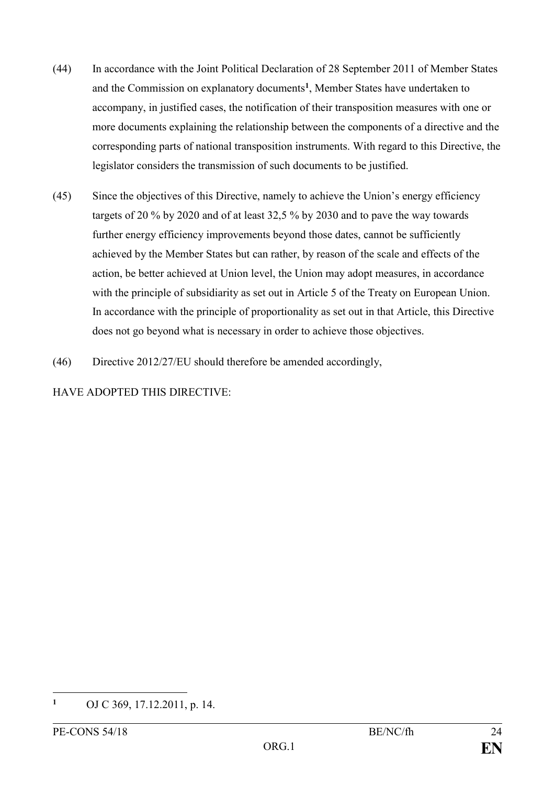- (44) In accordance with the Joint Political Declaration of 28 September 2011 of Member States and the Commission on explanatory documents**<sup>1</sup>** , Member States have undertaken to accompany, in justified cases, the notification of their transposition measures with one or more documents explaining the relationship between the components of a directive and the corresponding parts of national transposition instruments. With regard to this Directive, the legislator considers the transmission of such documents to be justified.
- (45) Since the objectives of this Directive, namely to achieve the Union's energy efficiency targets of 20 % by 2020 and of at least 32,5 % by 2030 and to pave the way towards further energy efficiency improvements beyond those dates, cannot be sufficiently achieved by the Member States but can rather, by reason of the scale and effects of the action, be better achieved at Union level, the Union may adopt measures, in accordance with the principle of subsidiarity as set out in Article 5 of the Treaty on European Union. In accordance with the principle of proportionality as set out in that Article, this Directive does not go beyond what is necessary in order to achieve those objectives.
- (46) Directive 2012/27/EU should therefore be amended accordingly,

HAVE ADOPTED THIS DIRECTIVE:

**<sup>1</sup>** OJ C 369, 17.12.2011, p. 14.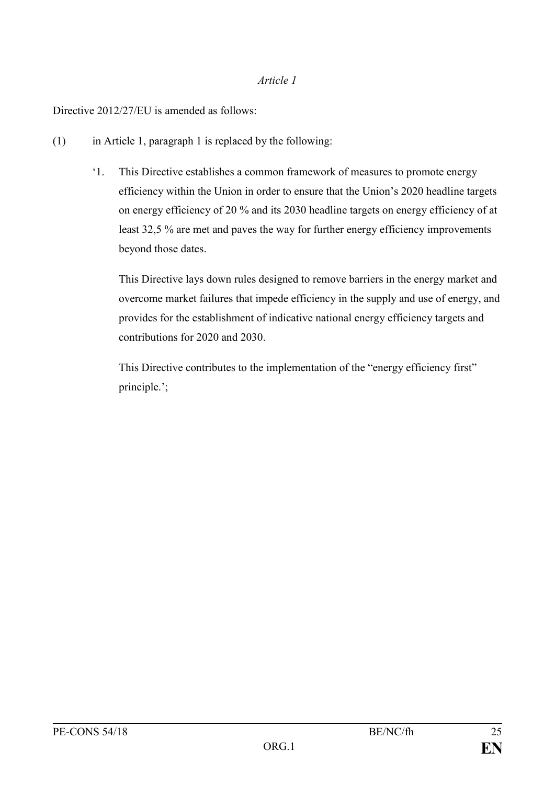#### *Article 1*

Directive 2012/27/EU is amended as follows:

- (1) in Article 1, paragraph 1 is replaced by the following:
	- '1. This Directive establishes a common framework of measures to promote energy efficiency within the Union in order to ensure that the Union's 2020 headline targets on energy efficiency of 20 % and its 2030 headline targets on energy efficiency of at least 32,5 % are met and paves the way for further energy efficiency improvements beyond those dates.

This Directive lays down rules designed to remove barriers in the energy market and overcome market failures that impede efficiency in the supply and use of energy, and provides for the establishment of indicative national energy efficiency targets and contributions for 2020 and 2030.

This Directive contributes to the implementation of the "energy efficiency first" principle.';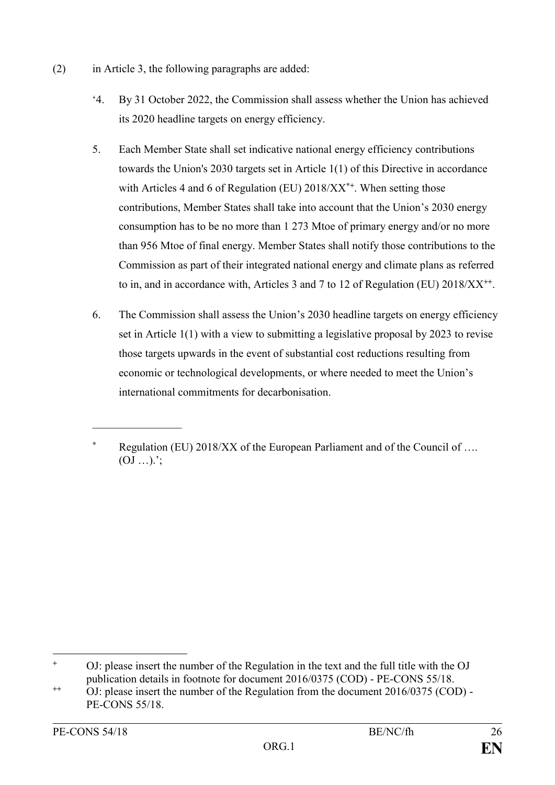- (2) in Article 3, the following paragraphs are added:
	- '4. By 31 October 2022, the Commission shall assess whether the Union has achieved its 2020 headline targets on energy efficiency.
	- 5. Each Member State shall set indicative national energy efficiency contributions towards the Union's 2030 targets set in Article 1(1) of this Directive in accordance with Articles 4 and 6 of Regulation (EU) 2018/XX<sup>\*+</sup>. When setting those contributions, Member States shall take into account that the Union's 2030 energy consumption has to be no more than 1 273 Mtoe of primary energy and/or no more than 956 Mtoe of final energy. Member States shall notify those contributions to the Commission as part of their integrated national energy and climate plans as referred to in, and in accordance with, Articles 3 and 7 to 12 of Regulation (EU) 2018/XX<sup>++</sup>.
	- 6. The Commission shall assess the Union's 2030 headline targets on energy efficiency set in Article  $1(1)$  with a view to submitting a legislative proposal by 2023 to revise those targets upwards in the event of substantial cost reductions resulting from economic or technological developments, or where needed to meet the Union's international commitments for decarbonisation.

 $\frac{1}{2}$ 

**Regulation (EU) 2018/XX of the European Parliament and of the Council of ....**  $(OJ \dots)$ ;

<sup>1</sup> **<sup>+</sup>** OJ: please insert the number of the Regulation in the text and the full title with the OJ publication details in footnote for document 2016/0375 (COD) - PE-CONS 55/18.

**<sup>++</sup>** OJ: please insert the number of the Regulation from the document 2016/0375 (COD) - PE-CONS 55/18.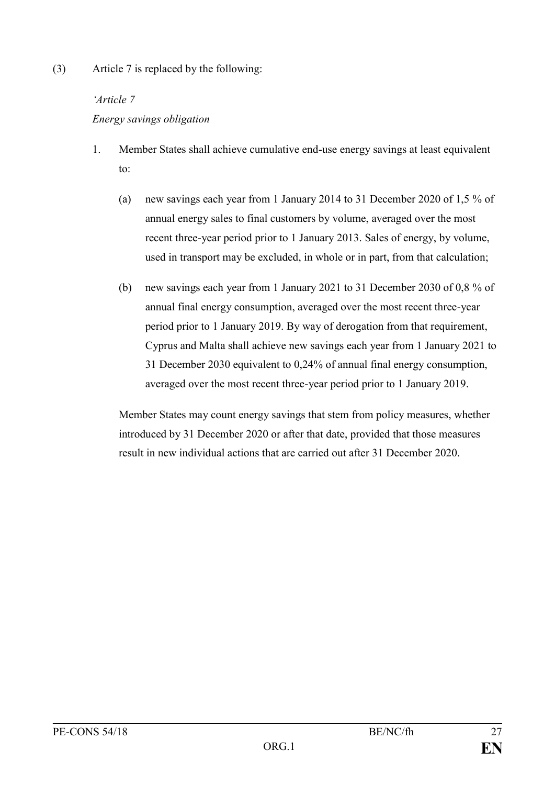(3) Article 7 is replaced by the following:

## *'Article 7*

# *Energy savings obligation*

- 1. Member States shall achieve cumulative end-use energy savings at least equivalent to:
	- (a) new savings each year from 1 January 2014 to 31 December 2020 of 1,5 % of annual energy sales to final customers by volume, averaged over the most recent three-year period prior to 1 January 2013. Sales of energy, by volume, used in transport may be excluded, in whole or in part, from that calculation;
	- (b) new savings each year from 1 January 2021 to 31 December 2030 of 0,8 % of annual final energy consumption, averaged over the most recent three-year period prior to 1 January 2019. By way of derogation from that requirement, Cyprus and Malta shall achieve new savings each year from 1 January 2021 to 31 December 2030 equivalent to 0,24% of annual final energy consumption, averaged over the most recent three-year period prior to 1 January 2019.

Member States may count energy savings that stem from policy measures, whether introduced by 31 December 2020 or after that date, provided that those measures result in new individual actions that are carried out after 31 December 2020.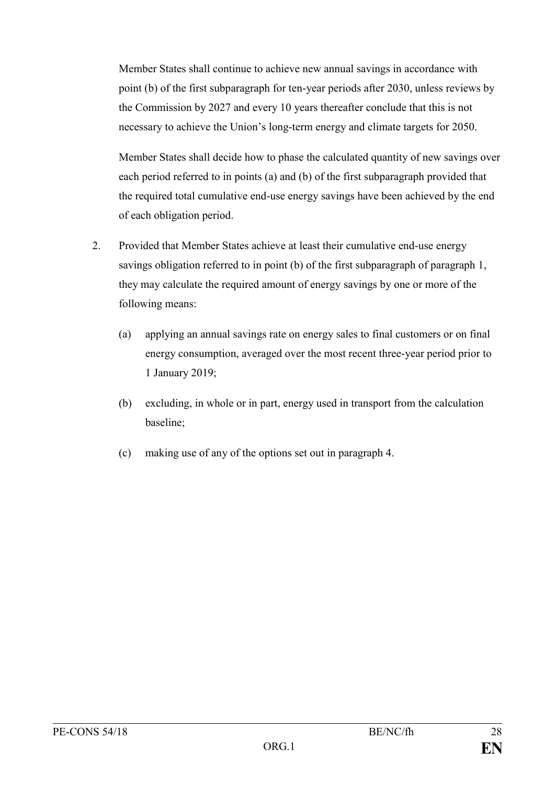Member States shall continue to achieve new annual savings in accordance with point (b) of the first subparagraph for ten-year periods after 2030, unless reviews by the Commission by 2027 and every 10 years thereafter conclude that this is not necessary to achieve the Union's long-term energy and climate targets for 2050.

Member States shall decide how to phase the calculated quantity of new savings over each period referred to in points (a) and (b) of the first subparagraph provided that the required total cumulative end-use energy savings have been achieved by the end of each obligation period.

- 2. Provided that Member States achieve at least their cumulative end-use energy savings obligation referred to in point (b) of the first subparagraph of paragraph 1, they may calculate the required amount of energy savings by one or more of the following means:
	- (a) applying an annual savings rate on energy sales to final customers or on final energy consumption, averaged over the most recent three-year period prior to 1 January 2019;
	- (b) excluding, in whole or in part, energy used in transport from the calculation baseline;
	- (c) making use of any of the options set out in paragraph 4.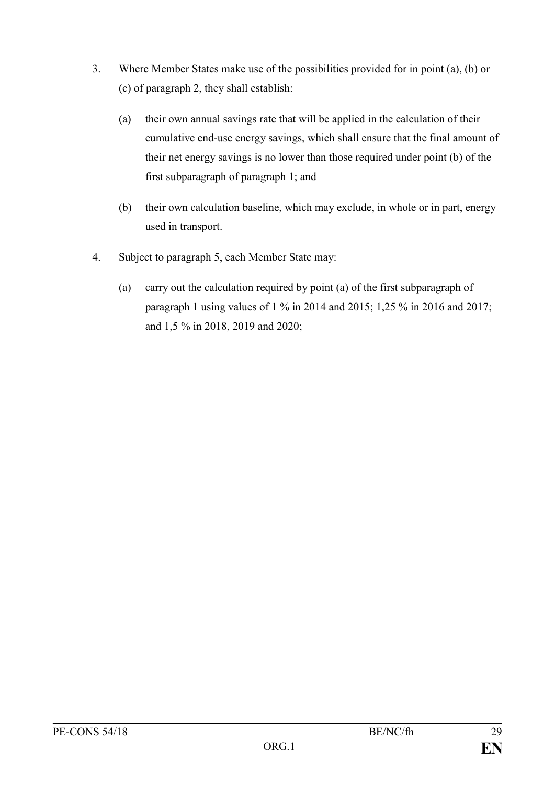- 3. Where Member States make use of the possibilities provided for in point (a), (b) or (c) of paragraph 2, they shall establish:
	- (a) their own annual savings rate that will be applied in the calculation of their cumulative end-use energy savings, which shall ensure that the final amount of their net energy savings is no lower than those required under point (b) of the first subparagraph of paragraph 1; and
	- (b) their own calculation baseline, which may exclude, in whole or in part, energy used in transport.
- 4. Subject to paragraph 5, each Member State may:
	- (a) carry out the calculation required by point (a) of the first subparagraph of paragraph 1 using values of 1 % in 2014 and 2015; 1,25 % in 2016 and 2017; and 1,5 % in 2018, 2019 and 2020;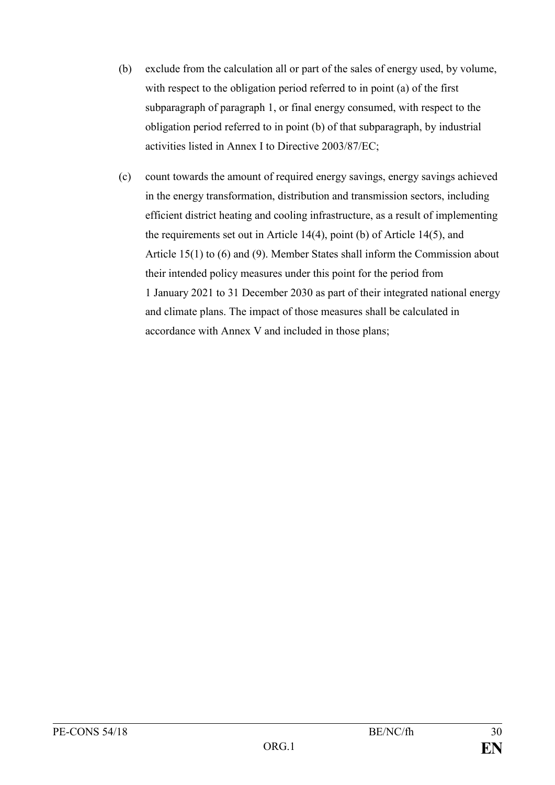- (b) exclude from the calculation all or part of the sales of energy used, by volume, with respect to the obligation period referred to in point (a) of the first subparagraph of paragraph 1, or final energy consumed, with respect to the obligation period referred to in point (b) of that subparagraph, by industrial activities listed in Annex I to Directive 2003/87/EC;
- (c) count towards the amount of required energy savings, energy savings achieved in the energy transformation, distribution and transmission sectors, including efficient district heating and cooling infrastructure, as a result of implementing the requirements set out in Article 14(4), point (b) of Article 14(5), and Article 15(1) to (6) and (9). Member States shall inform the Commission about their intended policy measures under this point for the period from 1 January 2021 to 31 December 2030 as part of their integrated national energy and climate plans. The impact of those measures shall be calculated in accordance with Annex V and included in those plans;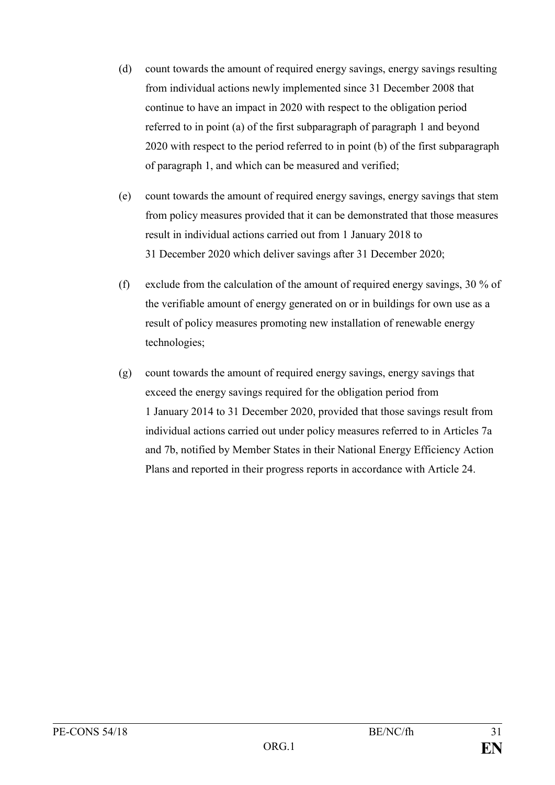- (d) count towards the amount of required energy savings, energy savings resulting from individual actions newly implemented since 31 December 2008 that continue to have an impact in 2020 with respect to the obligation period referred to in point (a) of the first subparagraph of paragraph 1 and beyond 2020 with respect to the period referred to in point (b) of the first subparagraph of paragraph 1, and which can be measured and verified;
- (e) count towards the amount of required energy savings, energy savings that stem from policy measures provided that it can be demonstrated that those measures result in individual actions carried out from 1 January 2018 to 31 December 2020 which deliver savings after 31 December 2020;
- (f) exclude from the calculation of the amount of required energy savings, 30 % of the verifiable amount of energy generated on or in buildings for own use as a result of policy measures promoting new installation of renewable energy technologies;
- (g) count towards the amount of required energy savings, energy savings that exceed the energy savings required for the obligation period from 1 January 2014 to 31 December 2020, provided that those savings result from individual actions carried out under policy measures referred to in Articles 7a and 7b, notified by Member States in their National Energy Efficiency Action Plans and reported in their progress reports in accordance with Article 24.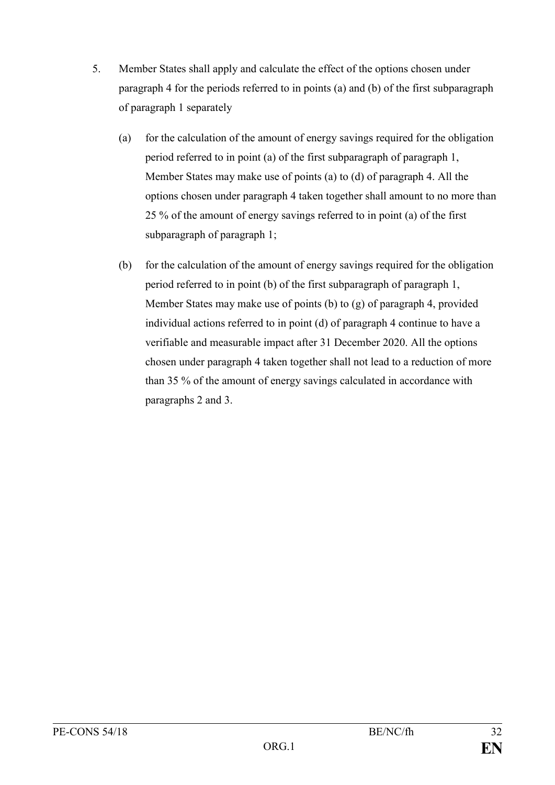- 5. Member States shall apply and calculate the effect of the options chosen under paragraph 4 for the periods referred to in points (a) and (b) of the first subparagraph of paragraph 1 separately
	- (a) for the calculation of the amount of energy savings required for the obligation period referred to in point (a) of the first subparagraph of paragraph 1, Member States may make use of points (a) to (d) of paragraph 4. All the options chosen under paragraph 4 taken together shall amount to no more than 25 % of the amount of energy savings referred to in point (a) of the first subparagraph of paragraph 1;
	- (b) for the calculation of the amount of energy savings required for the obligation period referred to in point (b) of the first subparagraph of paragraph 1, Member States may make use of points (b) to (g) of paragraph 4, provided individual actions referred to in point (d) of paragraph 4 continue to have a verifiable and measurable impact after 31 December 2020. All the options chosen under paragraph 4 taken together shall not lead to a reduction of more than 35 % of the amount of energy savings calculated in accordance with paragraphs 2 and 3.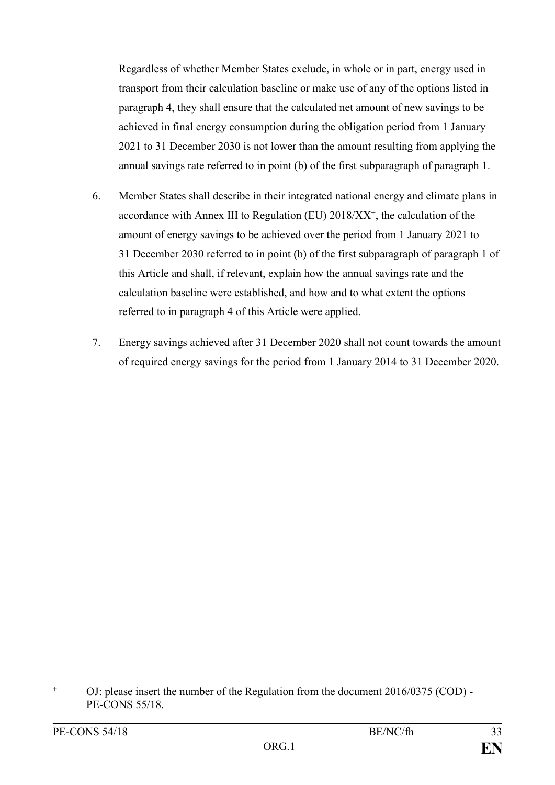Regardless of whether Member States exclude, in whole or in part, energy used in transport from their calculation baseline or make use of any of the options listed in paragraph 4, they shall ensure that the calculated net amount of new savings to be achieved in final energy consumption during the obligation period from 1 January 2021 to 31 December 2030 is not lower than the amount resulting from applying the annual savings rate referred to in point (b) of the first subparagraph of paragraph 1.

- 6. Member States shall describe in their integrated national energy and climate plans in accordance with Annex III to Regulation (EU) 2018/XX**<sup>+</sup>** , the calculation of the amount of energy savings to be achieved over the period from 1 January 2021 to 31 December 2030 referred to in point (b) of the first subparagraph of paragraph 1 of this Article and shall, if relevant, explain how the annual savings rate and the calculation baseline were established, and how and to what extent the options referred to in paragraph 4 of this Article were applied.
- 7. Energy savings achieved after 31 December 2020 shall not count towards the amount of required energy savings for the period from 1 January 2014 to 31 December 2020.

**<sup>+</sup>** OJ: please insert the number of the Regulation from the document 2016/0375 (COD) - PE-CONS 55/18.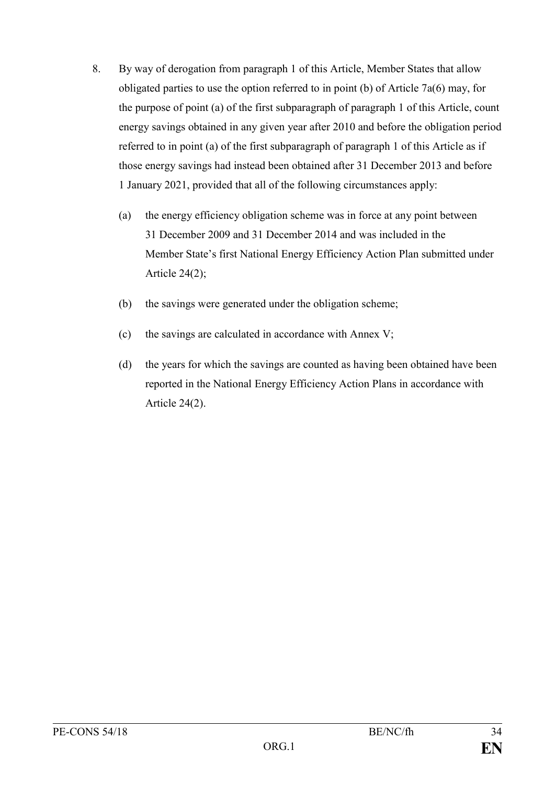- 8. By way of derogation from paragraph 1 of this Article, Member States that allow obligated parties to use the option referred to in point (b) of Article 7a(6) may, for the purpose of point (a) of the first subparagraph of paragraph 1 of this Article, count energy savings obtained in any given year after 2010 and before the obligation period referred to in point (a) of the first subparagraph of paragraph 1 of this Article as if those energy savings had instead been obtained after 31 December 2013 and before 1 January 2021, provided that all of the following circumstances apply:
	- (a) the energy efficiency obligation scheme was in force at any point between 31 December 2009 and 31 December 2014 and was included in the Member State's first National Energy Efficiency Action Plan submitted under Article  $24(2)$ ;
	- (b) the savings were generated under the obligation scheme;
	- (c) the savings are calculated in accordance with Annex V;
	- (d) the years for which the savings are counted as having been obtained have been reported in the National Energy Efficiency Action Plans in accordance with Article 24(2).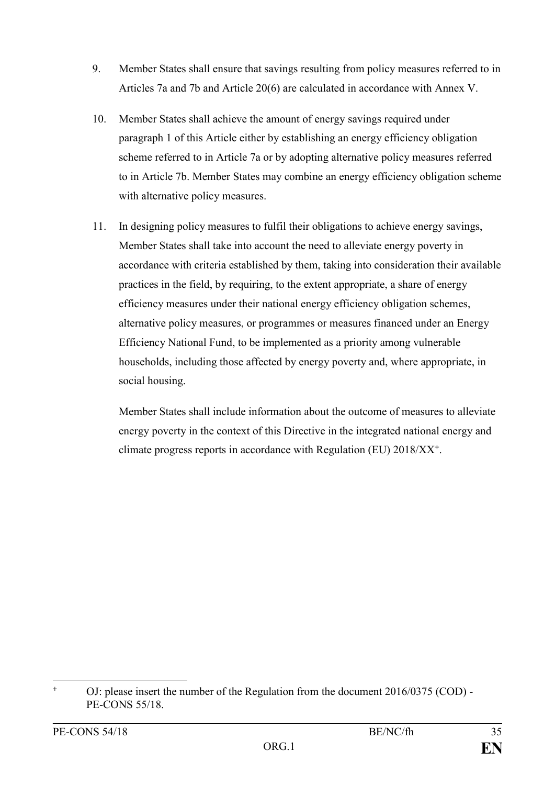- 9. Member States shall ensure that savings resulting from policy measures referred to in Articles 7a and 7b and Article 20(6) are calculated in accordance with Annex V.
- 10. Member States shall achieve the amount of energy savings required under paragraph 1 of this Article either by establishing an energy efficiency obligation scheme referred to in Article 7a or by adopting alternative policy measures referred to in Article 7b. Member States may combine an energy efficiency obligation scheme with alternative policy measures.
- 11. In designing policy measures to fulfil their obligations to achieve energy savings, Member States shall take into account the need to alleviate energy poverty in accordance with criteria established by them, taking into consideration their available practices in the field, by requiring, to the extent appropriate, a share of energy efficiency measures under their national energy efficiency obligation schemes, alternative policy measures, or programmes or measures financed under an Energy Efficiency National Fund, to be implemented as a priority among vulnerable households, including those affected by energy poverty and, where appropriate, in social housing.

Member States shall include information about the outcome of measures to alleviate energy poverty in the context of this Directive in the integrated national energy and climate progress reports in accordance with Regulation (EU) 2018/XX**<sup>+</sup>** .

**<sup>+</sup>** OJ: please insert the number of the Regulation from the document 2016/0375 (COD) - PE-CONS 55/18.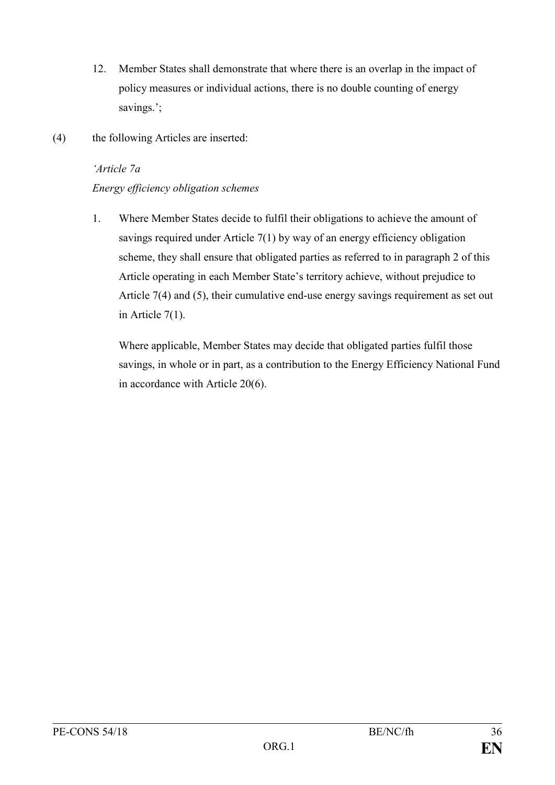- 12. Member States shall demonstrate that where there is an overlap in the impact of policy measures or individual actions, there is no double counting of energy savings.';
- (4) the following Articles are inserted:

## *'Article 7a*

## *Energy efficiency obligation schemes*

1. Where Member States decide to fulfil their obligations to achieve the amount of savings required under Article 7(1) by way of an energy efficiency obligation scheme, they shall ensure that obligated parties as referred to in paragraph 2 of this Article operating in each Member State's territory achieve, without prejudice to Article 7(4) and (5), their cumulative end-use energy savings requirement as set out in Article 7(1).

Where applicable, Member States may decide that obligated parties fulfil those savings, in whole or in part, as a contribution to the Energy Efficiency National Fund in accordance with Article 20(6).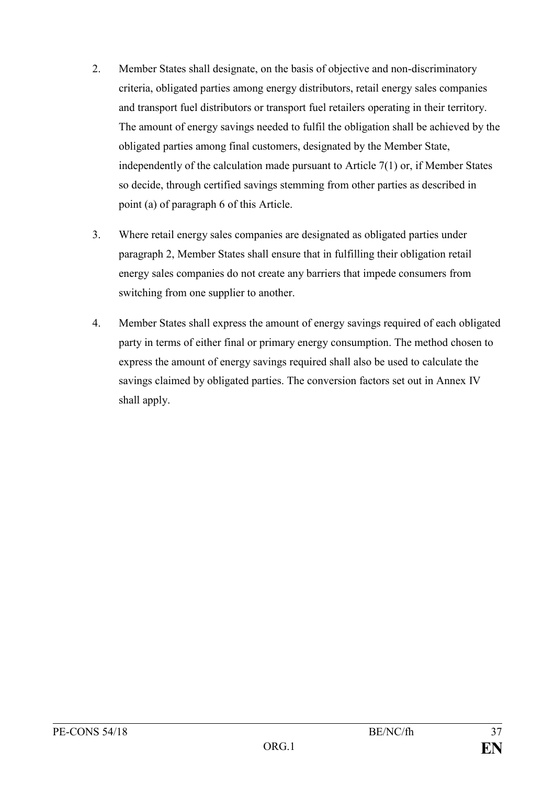- 2. Member States shall designate, on the basis of objective and non-discriminatory criteria, obligated parties among energy distributors, retail energy sales companies and transport fuel distributors or transport fuel retailers operating in their territory. The amount of energy savings needed to fulfil the obligation shall be achieved by the obligated parties among final customers, designated by the Member State, independently of the calculation made pursuant to Article 7(1) or, if Member States so decide, through certified savings stemming from other parties as described in point (a) of paragraph 6 of this Article.
- 3. Where retail energy sales companies are designated as obligated parties under paragraph 2, Member States shall ensure that in fulfilling their obligation retail energy sales companies do not create any barriers that impede consumers from switching from one supplier to another.
- 4. Member States shall express the amount of energy savings required of each obligated party in terms of either final or primary energy consumption. The method chosen to express the amount of energy savings required shall also be used to calculate the savings claimed by obligated parties. The conversion factors set out in Annex IV shall apply.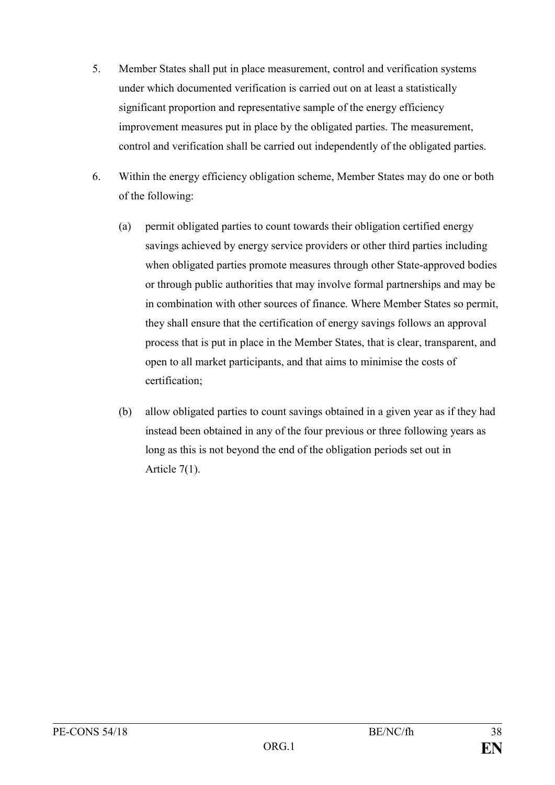- 5. Member States shall put in place measurement, control and verification systems under which documented verification is carried out on at least a statistically significant proportion and representative sample of the energy efficiency improvement measures put in place by the obligated parties. The measurement, control and verification shall be carried out independently of the obligated parties.
- 6. Within the energy efficiency obligation scheme, Member States may do one or both of the following:
	- (a) permit obligated parties to count towards their obligation certified energy savings achieved by energy service providers or other third parties including when obligated parties promote measures through other State-approved bodies or through public authorities that may involve formal partnerships and may be in combination with other sources of finance. Where Member States so permit, they shall ensure that the certification of energy savings follows an approval process that is put in place in the Member States, that is clear, transparent, and open to all market participants, and that aims to minimise the costs of certification;
	- (b) allow obligated parties to count savings obtained in a given year as if they had instead been obtained in any of the four previous or three following years as long as this is not beyond the end of the obligation periods set out in Article 7(1).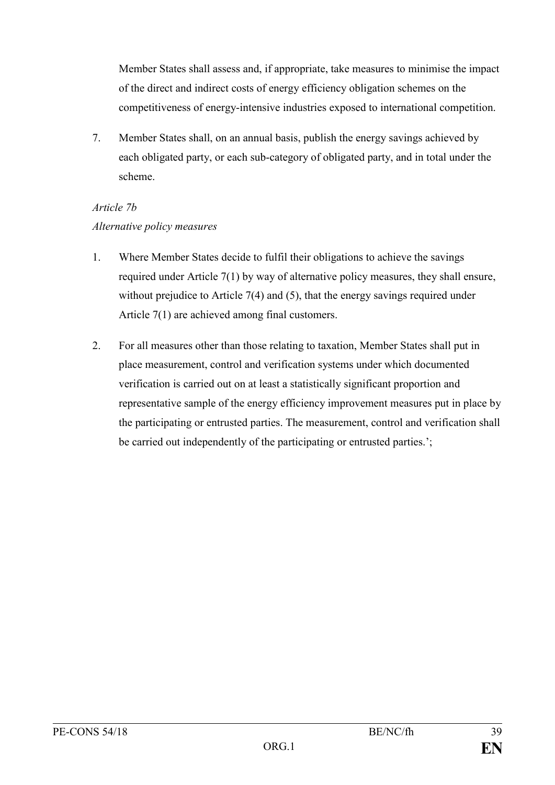Member States shall assess and, if appropriate, take measures to minimise the impact of the direct and indirect costs of energy efficiency obligation schemes on the competitiveness of energy-intensive industries exposed to international competition.

7. Member States shall, on an annual basis, publish the energy savings achieved by each obligated party, or each sub-category of obligated party, and in total under the scheme.

# *Article 7b Alternative policy measures*

- 1. Where Member States decide to fulfil their obligations to achieve the savings required under Article 7(1) by way of alternative policy measures, they shall ensure, without prejudice to Article 7(4) and (5), that the energy savings required under Article 7(1) are achieved among final customers.
- 2. For all measures other than those relating to taxation, Member States shall put in place measurement, control and verification systems under which documented verification is carried out on at least a statistically significant proportion and representative sample of the energy efficiency improvement measures put in place by the participating or entrusted parties. The measurement, control and verification shall be carried out independently of the participating or entrusted parties.';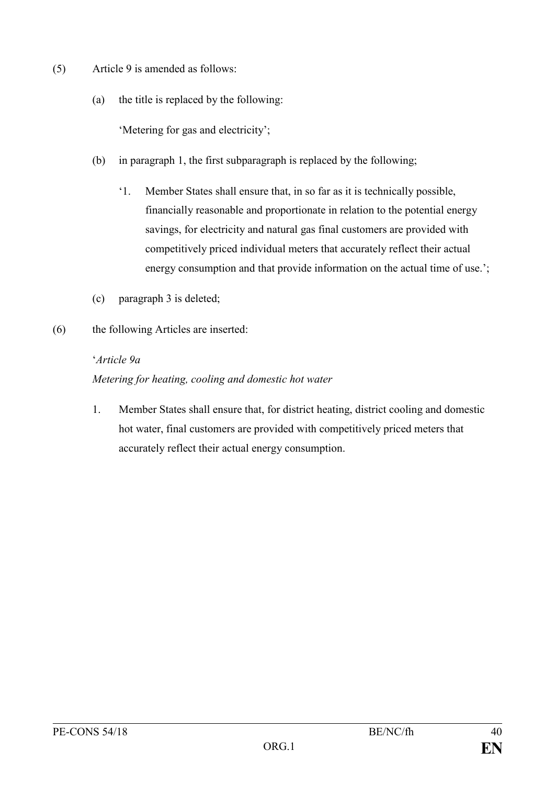- (5) Article 9 is amended as follows:
	- (a) the title is replaced by the following:

'Metering for gas and electricity';

- (b) in paragraph 1, the first subparagraph is replaced by the following;
	- '1. Member States shall ensure that, in so far as it is technically possible, financially reasonable and proportionate in relation to the potential energy savings, for electricity and natural gas final customers are provided with competitively priced individual meters that accurately reflect their actual energy consumption and that provide information on the actual time of use.';
- (c) paragraph 3 is deleted;
- (6) the following Articles are inserted:

#### '*Article 9a*

## *Metering for heating, cooling and domestic hot water*

1. Member States shall ensure that, for district heating, district cooling and domestic hot water, final customers are provided with competitively priced meters that accurately reflect their actual energy consumption.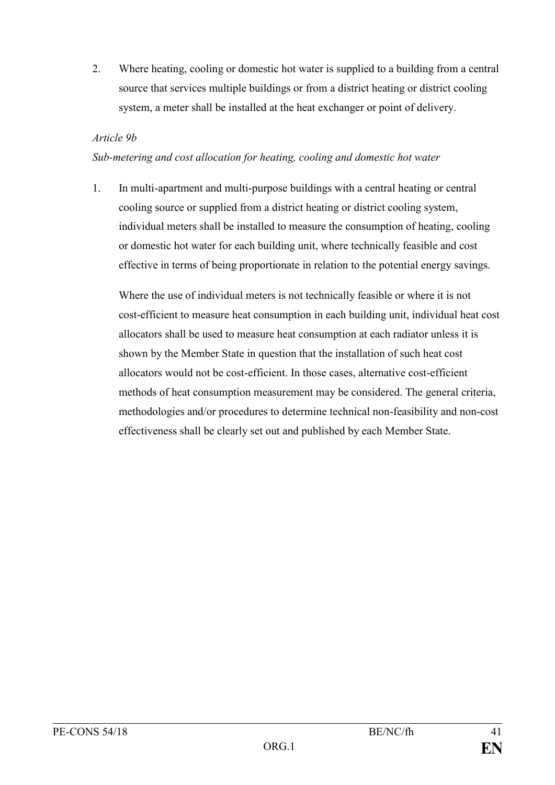2. Where heating, cooling or domestic hot water is supplied to a building from a central source that services multiple buildings or from a district heating or district cooling system, a meter shall be installed at the heat exchanger or point of delivery.

#### *Article 9b*

#### *Sub-metering and cost allocation for heating, cooling and domestic hot water*

1. In multi-apartment and multi-purpose buildings with a central heating or central cooling source or supplied from a district heating or district cooling system, individual meters shall be installed to measure the consumption of heating, cooling or domestic hot water for each building unit, where technically feasible and cost effective in terms of being proportionate in relation to the potential energy savings.

Where the use of individual meters is not technically feasible or where it is not cost-efficient to measure heat consumption in each building unit, individual heat cost allocators shall be used to measure heat consumption at each radiator unless it is shown by the Member State in question that the installation of such heat cost allocators would not be cost-efficient. In those cases, alternative cost-efficient methods of heat consumption measurement may be considered. The general criteria, methodologies and/or procedures to determine technical non-feasibility and non-cost effectiveness shall be clearly set out and published by each Member State.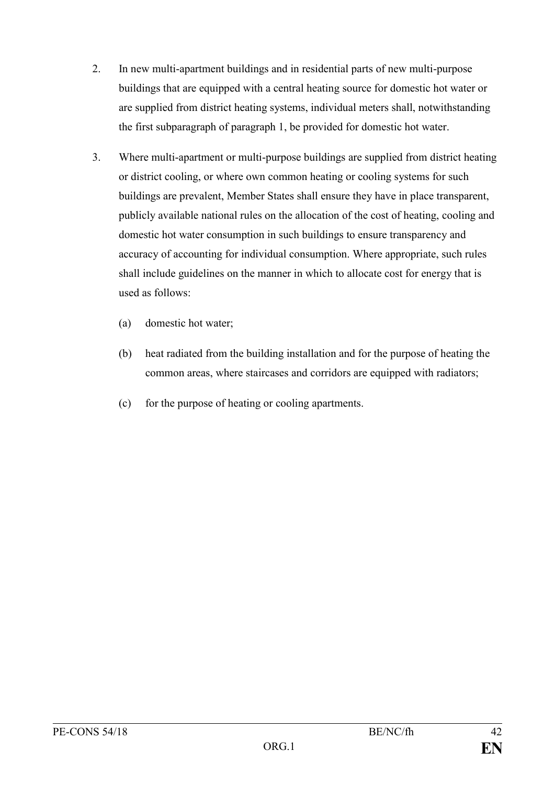- 2. In new multi-apartment buildings and in residential parts of new multi-purpose buildings that are equipped with a central heating source for domestic hot water or are supplied from district heating systems, individual meters shall, notwithstanding the first subparagraph of paragraph 1, be provided for domestic hot water.
- 3. Where multi-apartment or multi-purpose buildings are supplied from district heating or district cooling, or where own common heating or cooling systems for such buildings are prevalent, Member States shall ensure they have in place transparent, publicly available national rules on the allocation of the cost of heating, cooling and domestic hot water consumption in such buildings to ensure transparency and accuracy of accounting for individual consumption. Where appropriate, such rules shall include guidelines on the manner in which to allocate cost for energy that is used as follows:
	- (a) domestic hot water;
	- (b) heat radiated from the building installation and for the purpose of heating the common areas, where staircases and corridors are equipped with radiators;
	- (c) for the purpose of heating or cooling apartments.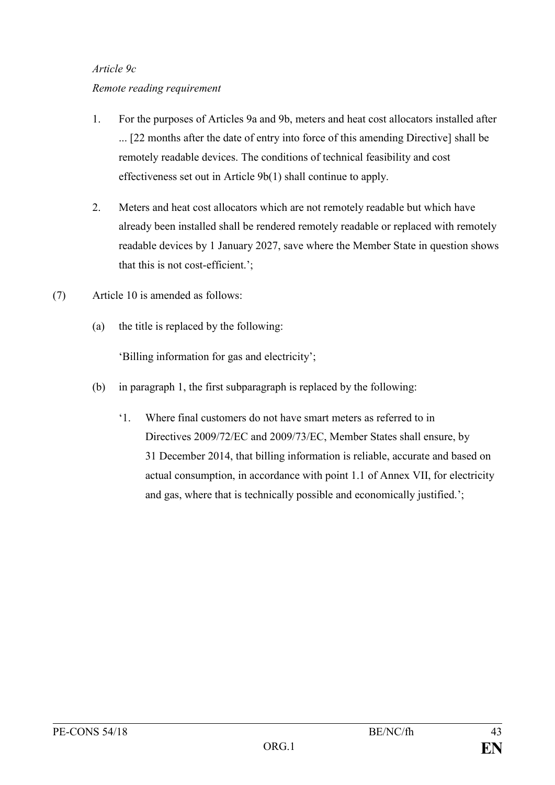#### *Article 9c*

#### *Remote reading requirement*

- 1. For the purposes of Articles 9a and 9b, meters and heat cost allocators installed after ... [22 months after the date of entry into force of this amending Directive] shall be remotely readable devices. The conditions of technical feasibility and cost effectiveness set out in Article 9b(1) shall continue to apply.
- 2. Meters and heat cost allocators which are not remotely readable but which have already been installed shall be rendered remotely readable or replaced with remotely readable devices by 1 January 2027, save where the Member State in question shows that this is not cost-efficient.';
- (7) Article 10 is amended as follows:
	- (a) the title is replaced by the following:

'Billing information for gas and electricity';

- (b) in paragraph 1, the first subparagraph is replaced by the following:
	- '1. Where final customers do not have smart meters as referred to in Directives 2009/72/EC and 2009/73/EC, Member States shall ensure, by 31 December 2014, that billing information is reliable, accurate and based on actual consumption, in accordance with point 1.1 of Annex VII, for electricity and gas, where that is technically possible and economically justified.';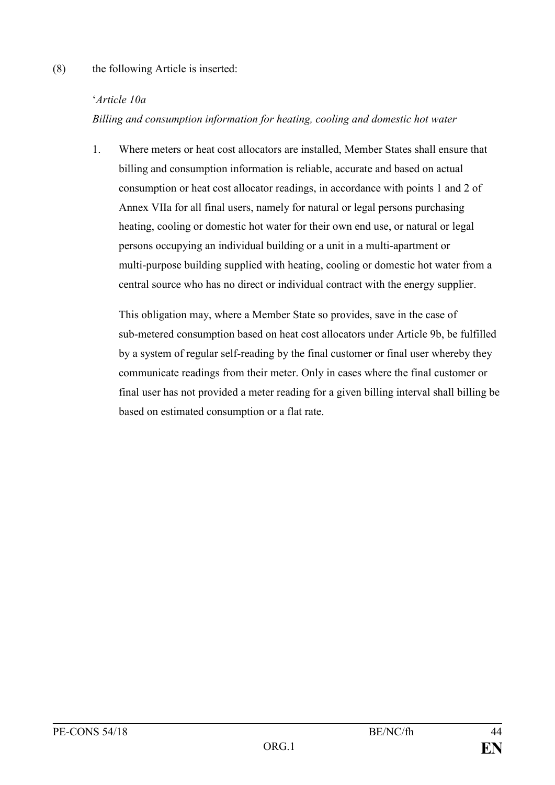#### (8) the following Article is inserted:

#### '*Article 10a*

*Billing and consumption information for heating, cooling and domestic hot water*

1. Where meters or heat cost allocators are installed, Member States shall ensure that billing and consumption information is reliable, accurate and based on actual consumption or heat cost allocator readings, in accordance with points 1 and 2 of Annex VIIa for all final users, namely for natural or legal persons purchasing heating, cooling or domestic hot water for their own end use, or natural or legal persons occupying an individual building or a unit in a multi-apartment or multi-purpose building supplied with heating, cooling or domestic hot water from a central source who has no direct or individual contract with the energy supplier.

This obligation may, where a Member State so provides, save in the case of sub-metered consumption based on heat cost allocators under Article 9b, be fulfilled by a system of regular self-reading by the final customer or final user whereby they communicate readings from their meter. Only in cases where the final customer or final user has not provided a meter reading for a given billing interval shall billing be based on estimated consumption or a flat rate.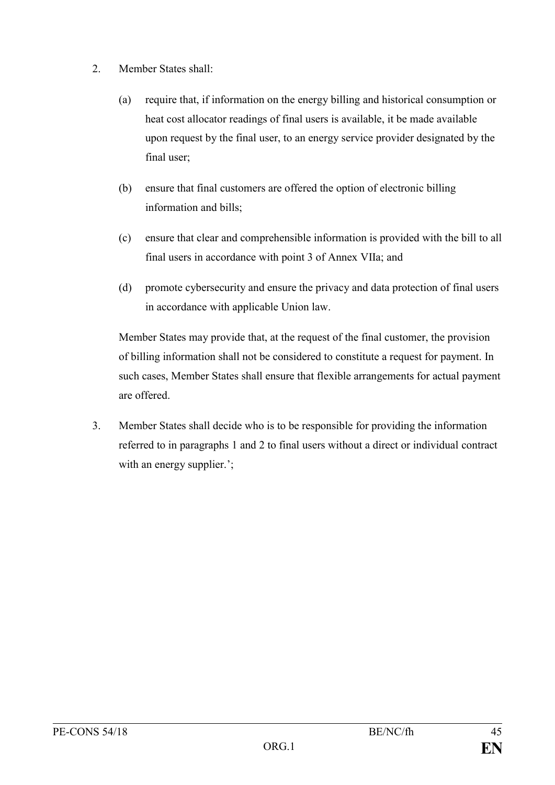- 2. Member States shall:
	- (a) require that, if information on the energy billing and historical consumption or heat cost allocator readings of final users is available, it be made available upon request by the final user, to an energy service provider designated by the final user;
	- (b) ensure that final customers are offered the option of electronic billing information and bills;
	- (c) ensure that clear and comprehensible information is provided with the bill to all final users in accordance with point 3 of Annex VIIa; and
	- (d) promote cybersecurity and ensure the privacy and data protection of final users in accordance with applicable Union law.

Member States may provide that, at the request of the final customer, the provision of billing information shall not be considered to constitute a request for payment. In such cases, Member States shall ensure that flexible arrangements for actual payment are offered.

3. Member States shall decide who is to be responsible for providing the information referred to in paragraphs 1 and 2 to final users without a direct or individual contract with an energy supplier.';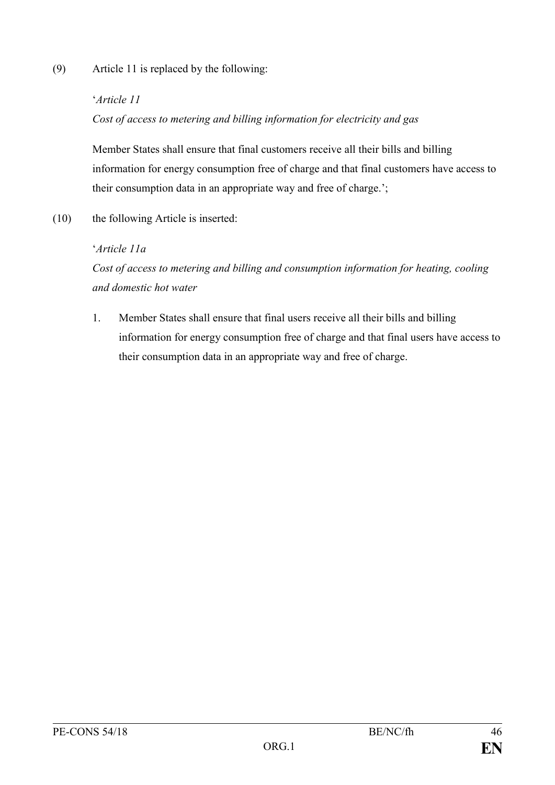(9) Article 11 is replaced by the following:

#### '*Article 11*

*Cost of access to metering and billing information for electricity and gas*

Member States shall ensure that final customers receive all their bills and billing information for energy consumption free of charge and that final customers have access to their consumption data in an appropriate way and free of charge.';

(10) the following Article is inserted:

## '*Article 11a*

*Cost of access to metering and billing and consumption information for heating, cooling and domestic hot water*

1. Member States shall ensure that final users receive all their bills and billing information for energy consumption free of charge and that final users have access to their consumption data in an appropriate way and free of charge.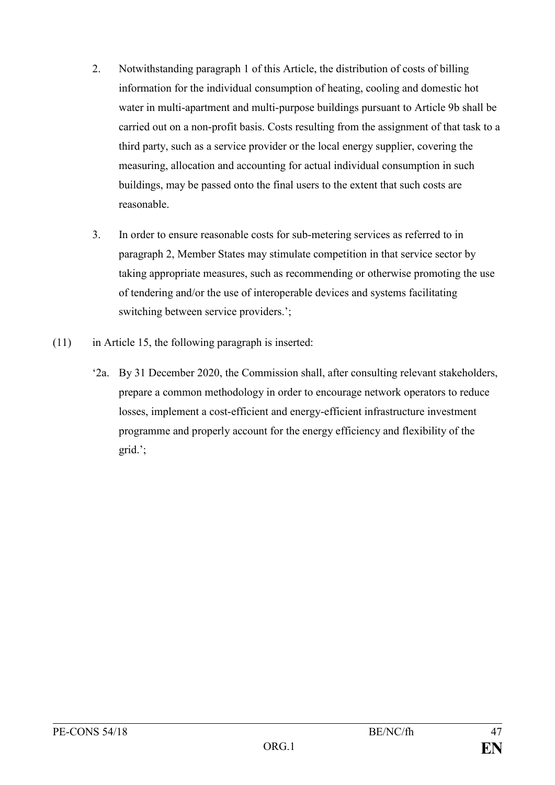- 2. Notwithstanding paragraph 1 of this Article, the distribution of costs of billing information for the individual consumption of heating, cooling and domestic hot water in multi-apartment and multi-purpose buildings pursuant to Article 9b shall be carried out on a non-profit basis. Costs resulting from the assignment of that task to a third party, such as a service provider or the local energy supplier, covering the measuring, allocation and accounting for actual individual consumption in such buildings, may be passed onto the final users to the extent that such costs are reasonable.
- 3. In order to ensure reasonable costs for sub-metering services as referred to in paragraph 2, Member States may stimulate competition in that service sector by taking appropriate measures, such as recommending or otherwise promoting the use of tendering and/or the use of interoperable devices and systems facilitating switching between service providers.';
- $(11)$  in Article 15, the following paragraph is inserted:
	- '2a. By 31 December 2020, the Commission shall, after consulting relevant stakeholders, prepare a common methodology in order to encourage network operators to reduce losses, implement a cost-efficient and energy-efficient infrastructure investment programme and properly account for the energy efficiency and flexibility of the grid.';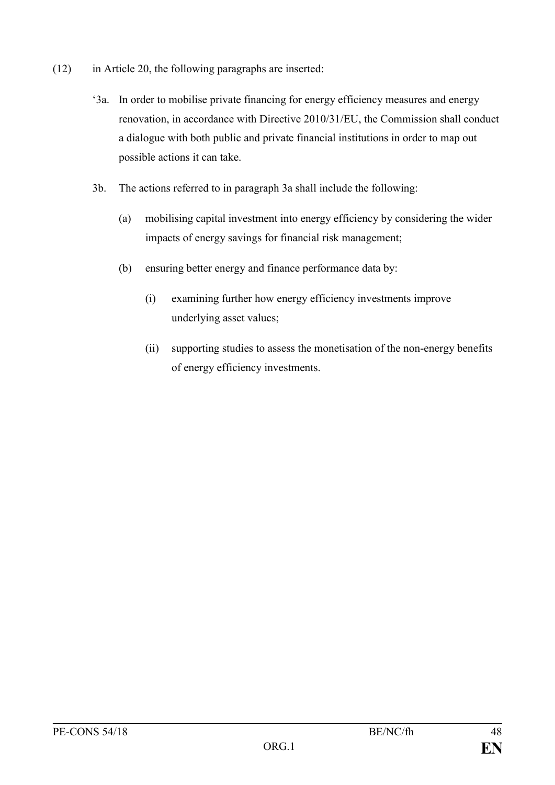- (12) in Article 20, the following paragraphs are inserted:
	- '3a. In order to mobilise private financing for energy efficiency measures and energy renovation, in accordance with Directive 2010/31/EU, the Commission shall conduct a dialogue with both public and private financial institutions in order to map out possible actions it can take.
	- 3b. The actions referred to in paragraph 3a shall include the following:
		- (a) mobilising capital investment into energy efficiency by considering the wider impacts of energy savings for financial risk management;
		- (b) ensuring better energy and finance performance data by:
			- (i) examining further how energy efficiency investments improve underlying asset values;
			- (ii) supporting studies to assess the monetisation of the non-energy benefits of energy efficiency investments.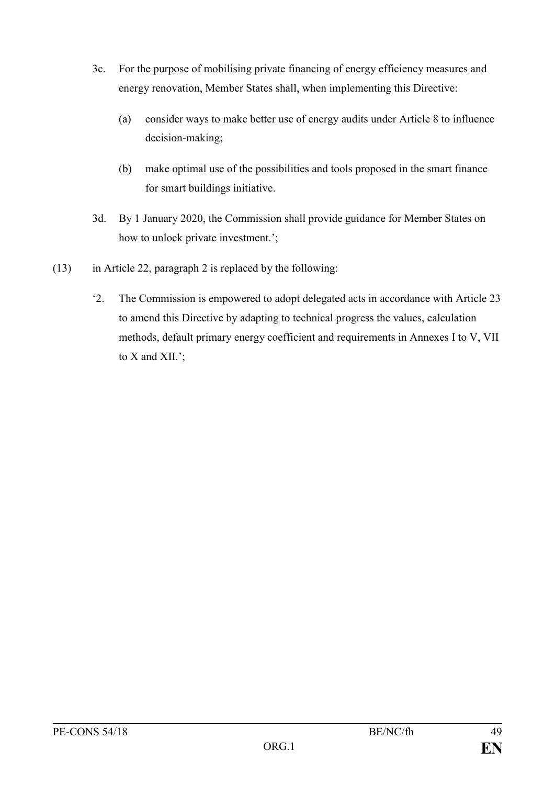- 3c. For the purpose of mobilising private financing of energy efficiency measures and energy renovation, Member States shall, when implementing this Directive:
	- (a) consider ways to make better use of energy audits under Article 8 to influence decision-making;
	- (b) make optimal use of the possibilities and tools proposed in the smart finance for smart buildings initiative.
- 3d. By 1 January 2020, the Commission shall provide guidance for Member States on how to unlock private investment.';
- (13) in Article 22, paragraph 2 is replaced by the following:
	- '2. The Commission is empowered to adopt delegated acts in accordance with Article 23 to amend this Directive by adapting to technical progress the values, calculation methods, default primary energy coefficient and requirements in Annexes I to V, VII to X and XII.';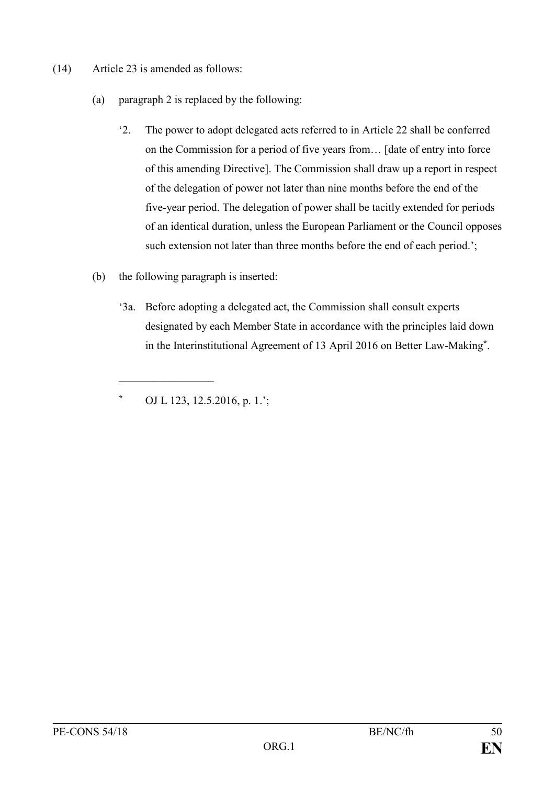- (14) Article 23 is amended as follows:
	- (a) paragraph 2 is replaced by the following:
		- '2. The power to adopt delegated acts referred to in Article 22 shall be conferred on the Commission for a period of five years from… [date of entry into force of this amending Directive]. The Commission shall draw up a report in respect of the delegation of power not later than nine months before the end of the five-year period. The delegation of power shall be tacitly extended for periods of an identical duration, unless the European Parliament or the Council opposes such extension not later than three months before the end of each period.';
	- (b) the following paragraph is inserted:
		- '3a. Before adopting a delegated act, the Commission shall consult experts designated by each Member State in accordance with the principles laid down in the Interinstitutional Agreement of 13 April 2016 on Better Law-Making**\*** .

**\*** OJ L 123, 12.5.2016, p. 1.';

 $\frac{1}{2}$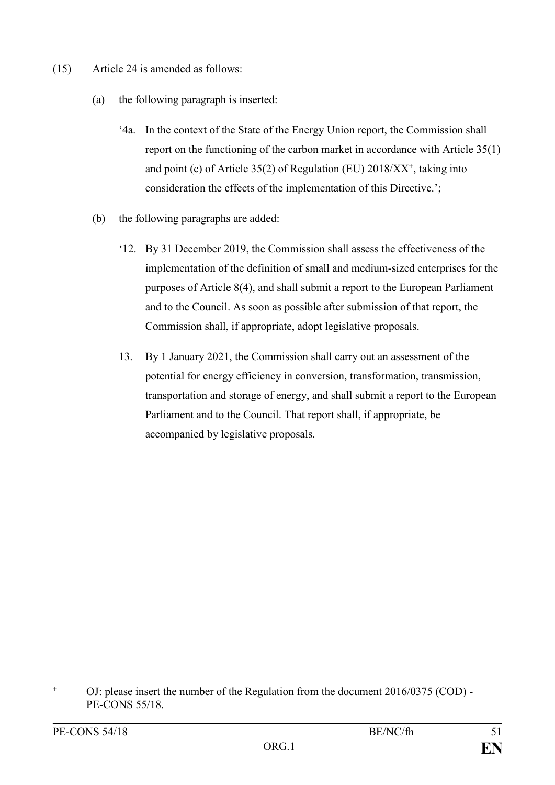- (15) Article 24 is amended as follows:
	- (a) the following paragraph is inserted:
		- '4a. In the context of the State of the Energy Union report, the Commission shall report on the functioning of the carbon market in accordance with Article 35(1) and point (c) of Article 35(2) of Regulation (EU) 2018/XX**<sup>+</sup>** , taking into consideration the effects of the implementation of this Directive.';
	- (b) the following paragraphs are added:
		- '12. By 31 December 2019, the Commission shall assess the effectiveness of the implementation of the definition of small and medium-sized enterprises for the purposes of Article 8(4), and shall submit a report to the European Parliament and to the Council. As soon as possible after submission of that report, the Commission shall, if appropriate, adopt legislative proposals.
		- 13. By 1 January 2021, the Commission shall carry out an assessment of the potential for energy efficiency in conversion, transformation, transmission, transportation and storage of energy, and shall submit a report to the European Parliament and to the Council. That report shall, if appropriate, be accompanied by legislative proposals.

1

**<sup>+</sup>** OJ: please insert the number of the Regulation from the document 2016/0375 (COD) - PE-CONS 55/18.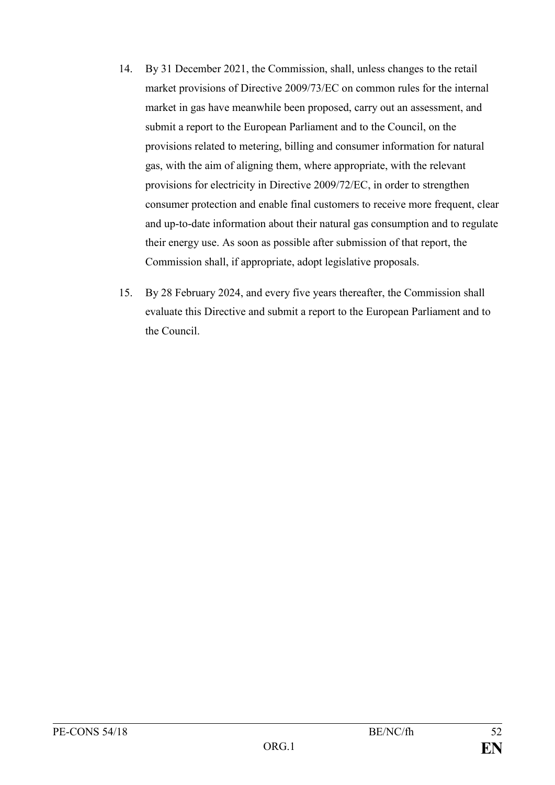- 14. By 31 December 2021, the Commission, shall, unless changes to the retail market provisions of Directive 2009/73/EC on common rules for the internal market in gas have meanwhile been proposed, carry out an assessment, and submit a report to the European Parliament and to the Council, on the provisions related to metering, billing and consumer information for natural gas, with the aim of aligning them, where appropriate, with the relevant provisions for electricity in Directive 2009/72/EC, in order to strengthen consumer protection and enable final customers to receive more frequent, clear and up-to-date information about their natural gas consumption and to regulate their energy use. As soon as possible after submission of that report, the Commission shall, if appropriate, adopt legislative proposals.
- 15. By 28 February 2024, and every five years thereafter, the Commission shall evaluate this Directive and submit a report to the European Parliament and to the Council.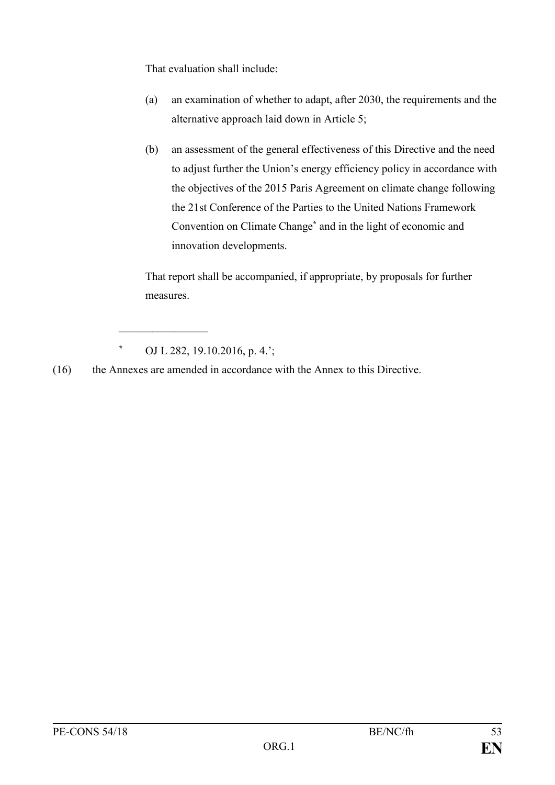That evaluation shall include:

- (a) an examination of whether to adapt, after 2030, the requirements and the alternative approach laid down in Article 5;
- (b) an assessment of the general effectiveness of this Directive and the need to adjust further the Union's energy efficiency policy in accordance with the objectives of the 2015 Paris Agreement on climate change following the 21st Conference of the Parties to the United Nations Framework Convention on Climate Change**\*** and in the light of economic and innovation developments.

That report shall be accompanied, if appropriate, by proposals for further measures.

 $\mathcal{L}_\text{max}$ 

(16) the Annexes are amended in accordance with the Annex to this Directive.

**<sup>\*</sup>** OJ L 282, 19.10.2016, p. 4.';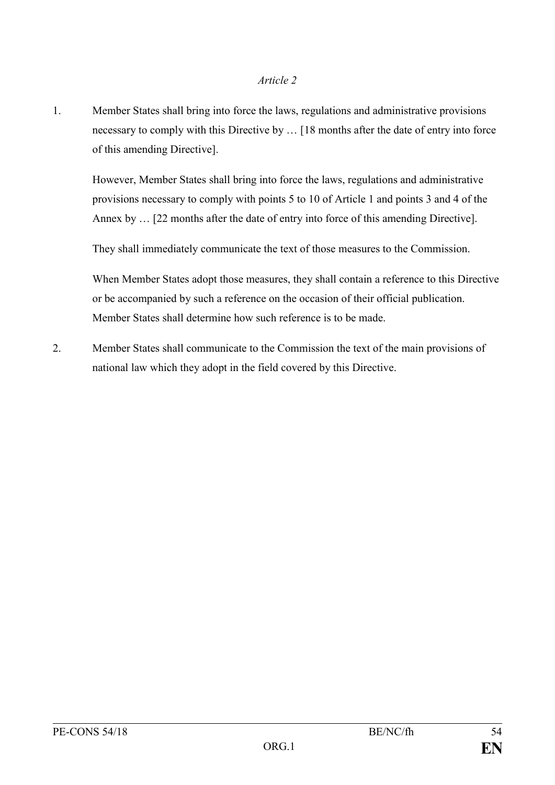#### *Article 2*

1. Member States shall bring into force the laws, regulations and administrative provisions necessary to comply with this Directive by … [18 months after the date of entry into force of this amending Directive].

However, Member States shall bring into force the laws, regulations and administrative provisions necessary to comply with points 5 to 10 of Article 1 and points 3 and 4 of the Annex by … [22 months after the date of entry into force of this amending Directive].

They shall immediately communicate the text of those measures to the Commission.

When Member States adopt those measures, they shall contain a reference to this Directive or be accompanied by such a reference on the occasion of their official publication. Member States shall determine how such reference is to be made.

2. Member States shall communicate to the Commission the text of the main provisions of national law which they adopt in the field covered by this Directive.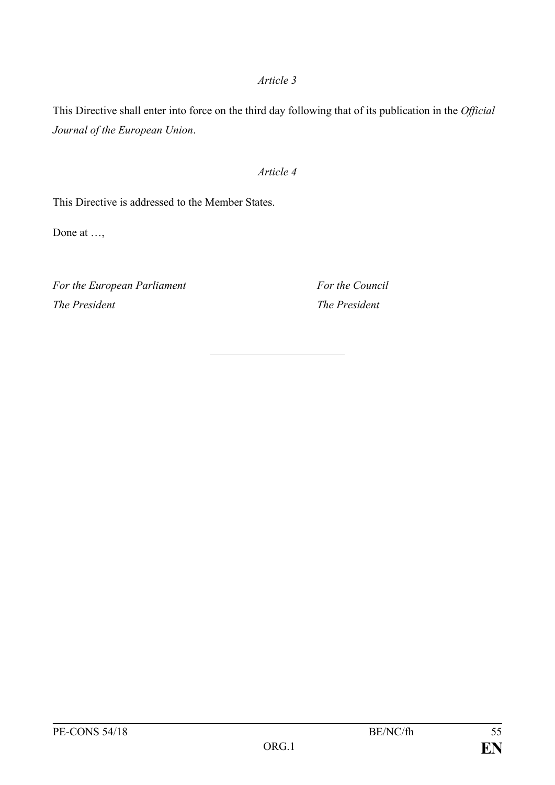#### *Article 3*

This Directive shall enter into force on the third day following that of its publication in the *Official Journal of the European Union*.

#### *Article 4*

This Directive is addressed to the Member States.

Done at …,

*For the European Parliament For the Council The President The President*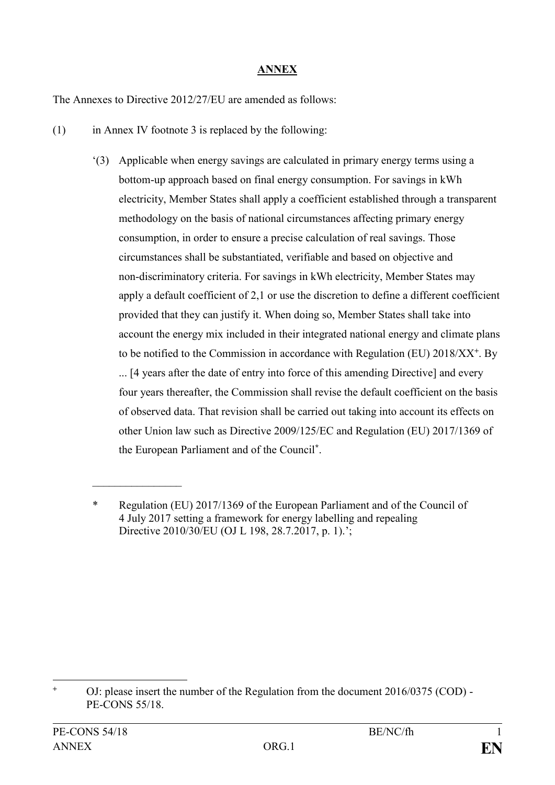## **ANNEX**

The Annexes to Directive 2012/27/EU are amended as follows:

- (1) in Annex IV footnote 3 is replaced by the following:
	- '(3) Applicable when energy savings are calculated in primary energy terms using a bottom-up approach based on final energy consumption. For savings in kWh electricity, Member States shall apply a coefficient established through a transparent methodology on the basis of national circumstances affecting primary energy consumption, in order to ensure a precise calculation of real savings. Those circumstances shall be substantiated, verifiable and based on objective and non-discriminatory criteria. For savings in kWh electricity, Member States may apply a default coefficient of 2,1 or use the discretion to define a different coefficient provided that they can justify it. When doing so, Member States shall take into account the energy mix included in their integrated national energy and climate plans to be notified to the Commission in accordance with Regulation (EU) 2018/XX**<sup>+</sup>** . By

... [4 years after the date of entry into force of this amending Directive] and every four years thereafter, the Commission shall revise the default coefficient on the basis of observed data. That revision shall be carried out taking into account its effects on other Union law such as Directive 2009/125/EC and Regulation (EU) 2017/1369 of the European Parliament and of the Council**\*** .

 $\frac{1}{2}$ 

Regulation (EU) 2017/1369 of the European Parliament and of the Council of 4 July 2017 setting a framework for energy labelling and repealing Directive 2010/30/EU (OJ L 198, 28.7.2017, p. 1).';

<sup>1</sup> **<sup>+</sup>** OJ: please insert the number of the Regulation from the document 2016/0375 (COD) - PE-CONS 55/18.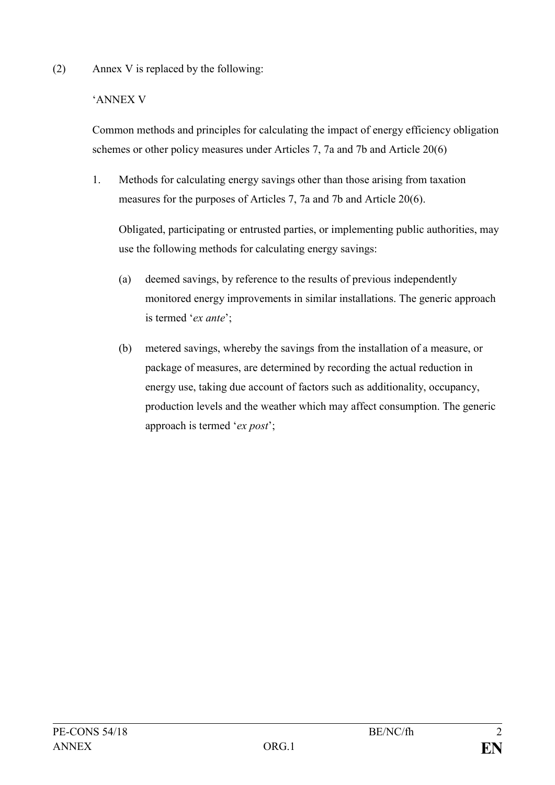(2) Annex V is replaced by the following:

# 'ANNEX V

Common methods and principles for calculating the impact of energy efficiency obligation schemes or other policy measures under Articles 7, 7a and 7b and Article 20(6)

1. Methods for calculating energy savings other than those arising from taxation measures for the purposes of Articles 7, 7a and 7b and Article 20(6).

Obligated, participating or entrusted parties, or implementing public authorities, may use the following methods for calculating energy savings:

- (a) deemed savings, by reference to the results of previous independently monitored energy improvements in similar installations. The generic approach is termed '*ex ante*';
- (b) metered savings, whereby the savings from the installation of a measure, or package of measures, are determined by recording the actual reduction in energy use, taking due account of factors such as additionality, occupancy, production levels and the weather which may affect consumption. The generic approach is termed '*ex post*';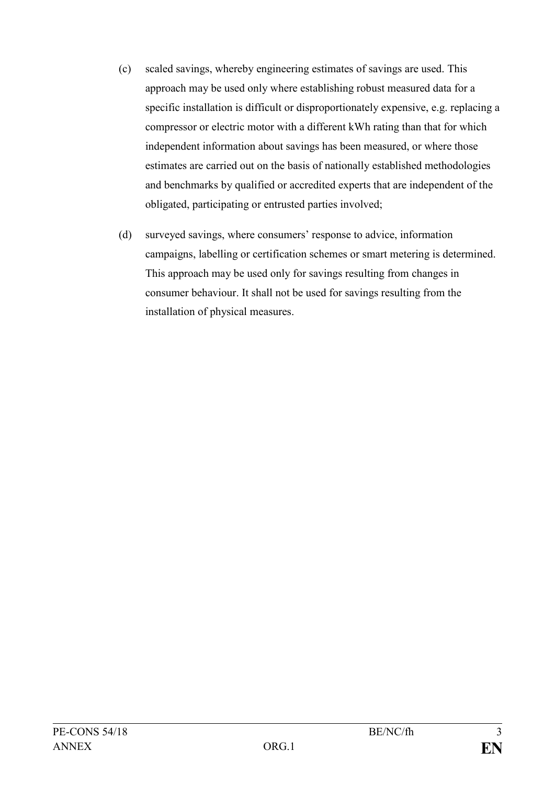- (c) scaled savings, whereby engineering estimates of savings are used. This approach may be used only where establishing robust measured data for a specific installation is difficult or disproportionately expensive, e.g. replacing a compressor or electric motor with a different kWh rating than that for which independent information about savings has been measured, or where those estimates are carried out on the basis of nationally established methodologies and benchmarks by qualified or accredited experts that are independent of the obligated, participating or entrusted parties involved;
- (d) surveyed savings, where consumers' response to advice, information campaigns, labelling or certification schemes or smart metering is determined. This approach may be used only for savings resulting from changes in consumer behaviour. It shall not be used for savings resulting from the installation of physical measures.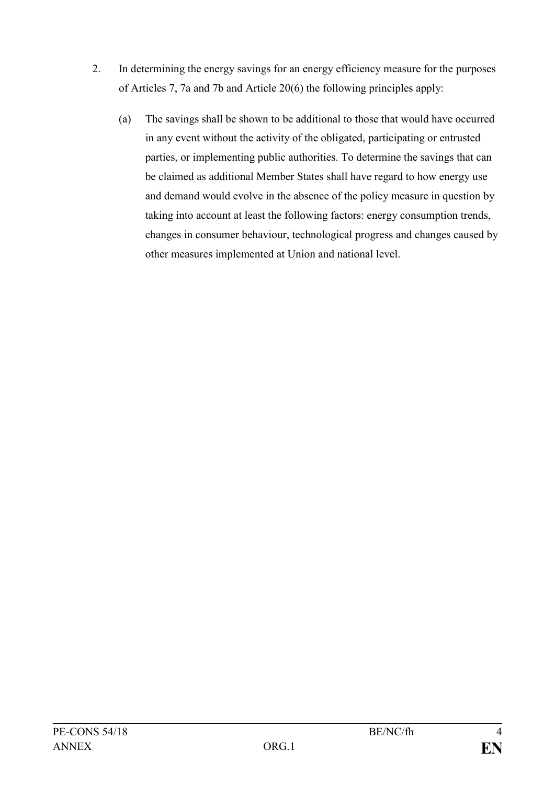- 2. In determining the energy savings for an energy efficiency measure for the purposes of Articles 7, 7a and 7b and Article 20(6) the following principles apply:
	- (a) The savings shall be shown to be additional to those that would have occurred in any event without the activity of the obligated, participating or entrusted parties, or implementing public authorities. To determine the savings that can be claimed as additional Member States shall have regard to how energy use and demand would evolve in the absence of the policy measure in question by taking into account at least the following factors: energy consumption trends, changes in consumer behaviour, technological progress and changes caused by other measures implemented at Union and national level.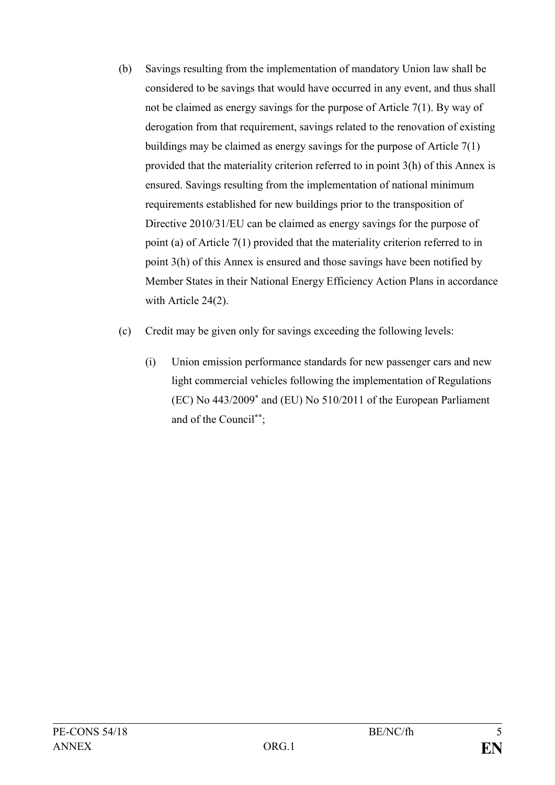- (b) Savings resulting from the implementation of mandatory Union law shall be considered to be savings that would have occurred in any event, and thus shall not be claimed as energy savings for the purpose of Article 7(1). By way of derogation from that requirement, savings related to the renovation of existing buildings may be claimed as energy savings for the purpose of Article 7(1) provided that the materiality criterion referred to in point 3(h) of this Annex is ensured. Savings resulting from the implementation of national minimum requirements established for new buildings prior to the transposition of Directive 2010/31/EU can be claimed as energy savings for the purpose of point (a) of Article 7(1) provided that the materiality criterion referred to in point 3(h) of this Annex is ensured and those savings have been notified by Member States in their National Energy Efficiency Action Plans in accordance with Article 24(2).
- (c) Credit may be given only for savings exceeding the following levels:
	- (i) Union emission performance standards for new passenger cars and new light commercial vehicles following the implementation of Regulations (EC) No 443/2009**\*** and (EU) No 510/2011 of the European Parliament and of the Council**\*\***;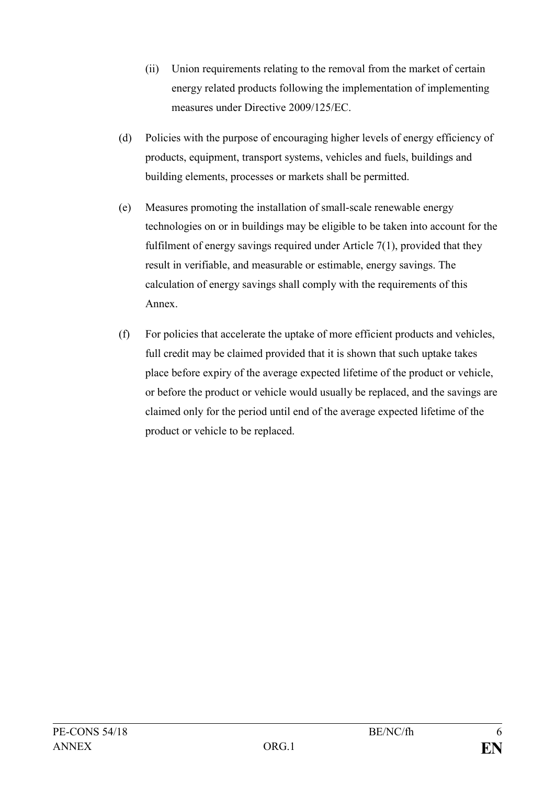- (ii) Union requirements relating to the removal from the market of certain energy related products following the implementation of implementing measures under Directive 2009/125/EC.
- (d) Policies with the purpose of encouraging higher levels of energy efficiency of products, equipment, transport systems, vehicles and fuels, buildings and building elements, processes or markets shall be permitted.
- (e) Measures promoting the installation of small-scale renewable energy technologies on or in buildings may be eligible to be taken into account for the fulfilment of energy savings required under Article 7(1), provided that they result in verifiable, and measurable or estimable, energy savings. The calculation of energy savings shall comply with the requirements of this Annex.
- (f) For policies that accelerate the uptake of more efficient products and vehicles, full credit may be claimed provided that it is shown that such uptake takes place before expiry of the average expected lifetime of the product or vehicle, or before the product or vehicle would usually be replaced, and the savings are claimed only for the period until end of the average expected lifetime of the product or vehicle to be replaced.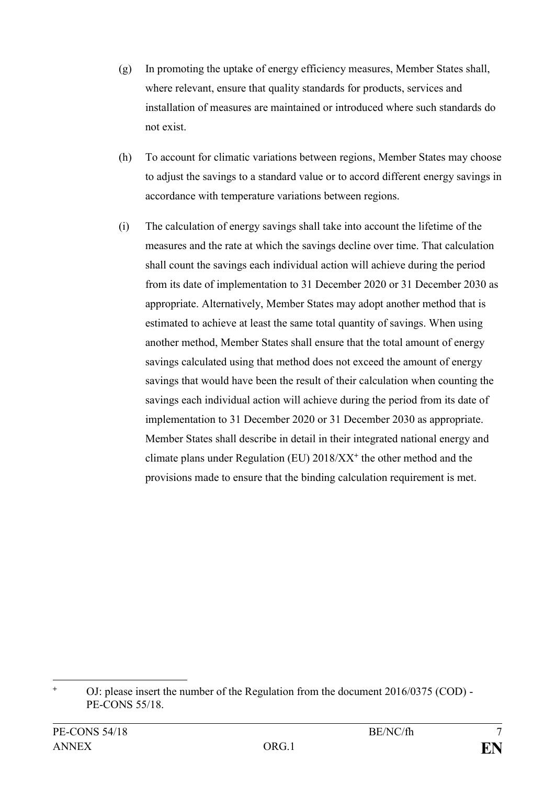- (g) In promoting the uptake of energy efficiency measures, Member States shall, where relevant, ensure that quality standards for products, services and installation of measures are maintained or introduced where such standards do not exist.
- (h) To account for climatic variations between regions, Member States may choose to adjust the savings to a standard value or to accord different energy savings in accordance with temperature variations between regions.
- (i) The calculation of energy savings shall take into account the lifetime of the measures and the rate at which the savings decline over time. That calculation shall count the savings each individual action will achieve during the period from its date of implementation to 31 December 2020 or 31 December 2030 as appropriate. Alternatively, Member States may adopt another method that is estimated to achieve at least the same total quantity of savings. When using another method, Member States shall ensure that the total amount of energy savings calculated using that method does not exceed the amount of energy savings that would have been the result of their calculation when counting the savings each individual action will achieve during the period from its date of implementation to 31 December 2020 or 31 December 2030 as appropriate. Member States shall describe in detail in their integrated national energy and climate plans under Regulation (EU) 2018/XX**<sup>+</sup>** the other method and the provisions made to ensure that the binding calculation requirement is met.

1

**<sup>+</sup>** OJ: please insert the number of the Regulation from the document 2016/0375 (COD) - PE-CONS 55/18.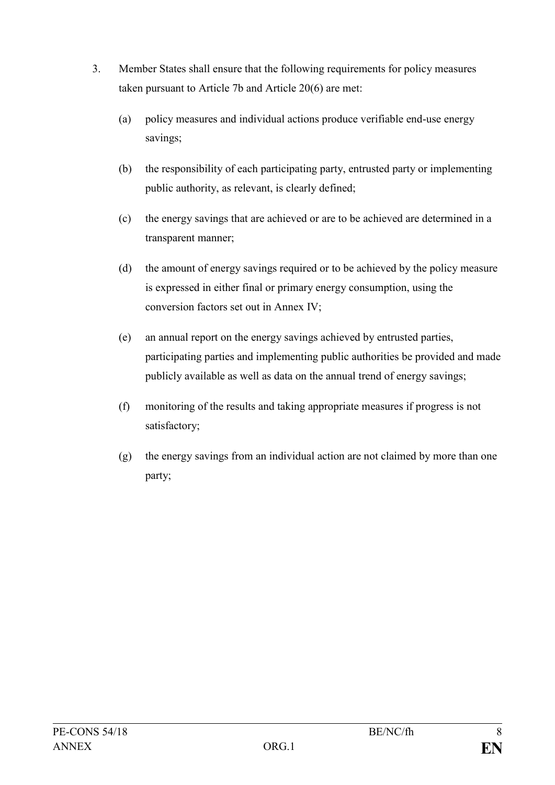- 3. Member States shall ensure that the following requirements for policy measures taken pursuant to Article 7b and Article 20(6) are met:
	- (a) policy measures and individual actions produce verifiable end-use energy savings;
	- (b) the responsibility of each participating party, entrusted party or implementing public authority, as relevant, is clearly defined;
	- (c) the energy savings that are achieved or are to be achieved are determined in a transparent manner;
	- (d) the amount of energy savings required or to be achieved by the policy measure is expressed in either final or primary energy consumption, using the conversion factors set out in Annex IV;
	- (e) an annual report on the energy savings achieved by entrusted parties, participating parties and implementing public authorities be provided and made publicly available as well as data on the annual trend of energy savings;
	- (f) monitoring of the results and taking appropriate measures if progress is not satisfactory;
	- (g) the energy savings from an individual action are not claimed by more than one party;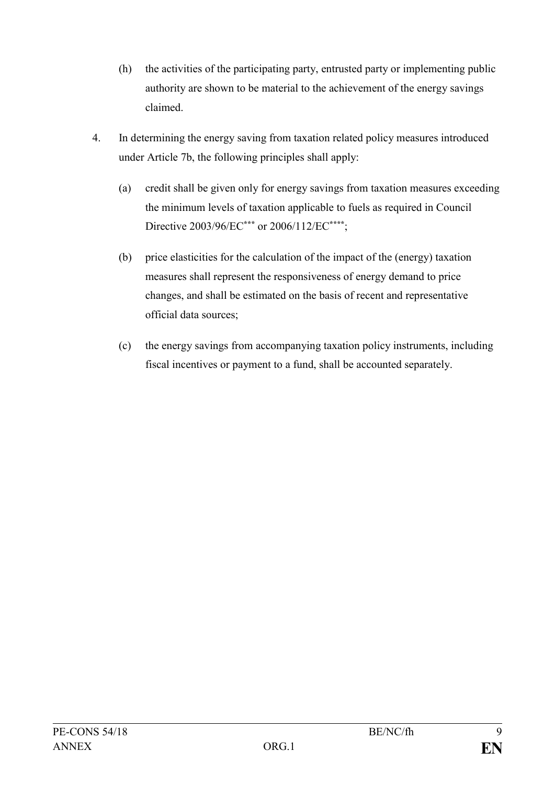- (h) the activities of the participating party, entrusted party or implementing public authority are shown to be material to the achievement of the energy savings claimed.
- 4. In determining the energy saving from taxation related policy measures introduced under Article 7b, the following principles shall apply:
	- (a) credit shall be given only for energy savings from taxation measures exceeding the minimum levels of taxation applicable to fuels as required in Council Directive 2003/96/EC**\*\*\*** or 2006/112/EC**\*\*\*\***;
	- (b) price elasticities for the calculation of the impact of the (energy) taxation measures shall represent the responsiveness of energy demand to price changes, and shall be estimated on the basis of recent and representative official data sources;
	- (c) the energy savings from accompanying taxation policy instruments, including fiscal incentives or payment to a fund, shall be accounted separately.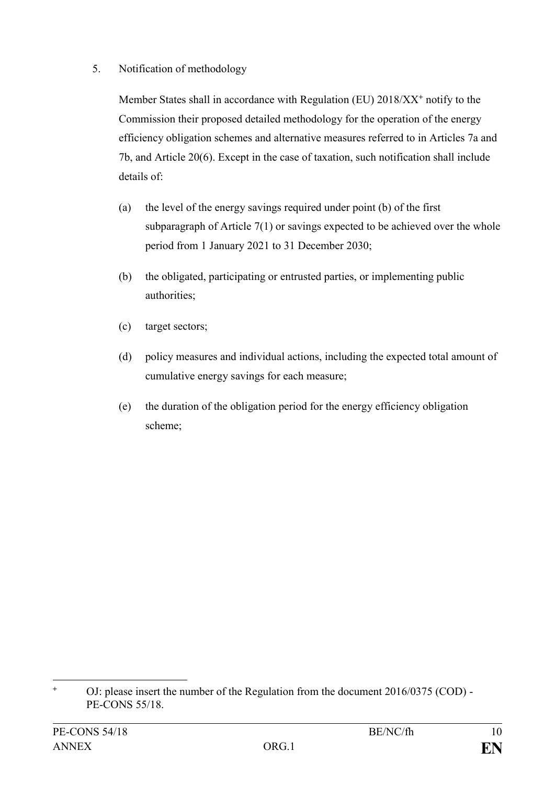# 5. Notification of methodology

Member States shall in accordance with Regulation (EU) 2018/XX**<sup>+</sup>** notify to the Commission their proposed detailed methodology for the operation of the energy efficiency obligation schemes and alternative measures referred to in Articles 7a and 7b, and Article 20(6). Except in the case of taxation, such notification shall include details of:

- (a) the level of the energy savings required under point (b) of the first subparagraph of Article 7(1) or savings expected to be achieved over the whole period from 1 January 2021 to 31 December 2030;
- (b) the obligated, participating or entrusted parties, or implementing public authorities;
- (c) target sectors;
- (d) policy measures and individual actions, including the expected total amount of cumulative energy savings for each measure;
- (e) the duration of the obligation period for the energy efficiency obligation scheme;

 $\ddot{+}$ **<sup>+</sup>** OJ: please insert the number of the Regulation from the document 2016/0375 (COD) - PE-CONS 55/18.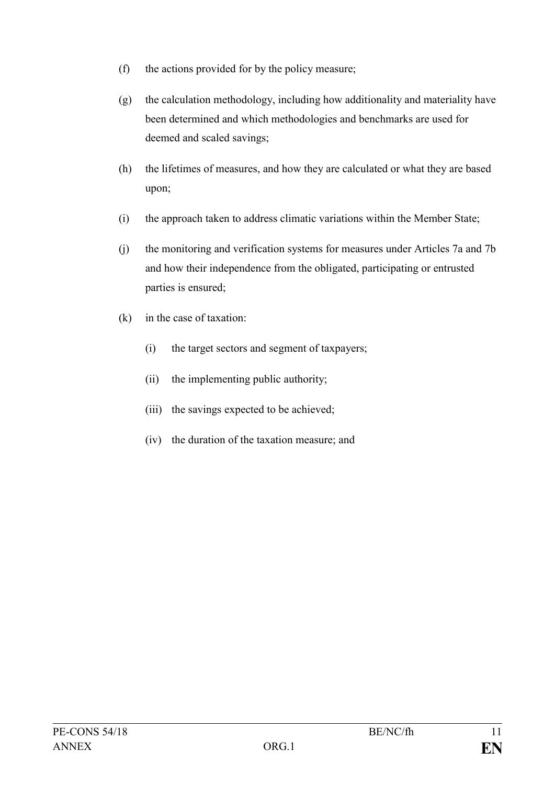- (f) the actions provided for by the policy measure;
- (g) the calculation methodology, including how additionality and materiality have been determined and which methodologies and benchmarks are used for deemed and scaled savings;
- (h) the lifetimes of measures, and how they are calculated or what they are based upon;
- (i) the approach taken to address climatic variations within the Member State;
- (j) the monitoring and verification systems for measures under Articles 7a and 7b and how their independence from the obligated, participating or entrusted parties is ensured;
- (k) in the case of taxation:
	- (i) the target sectors and segment of taxpayers;
	- (ii) the implementing public authority;
	- (iii) the savings expected to be achieved;
	- (iv) the duration of the taxation measure; and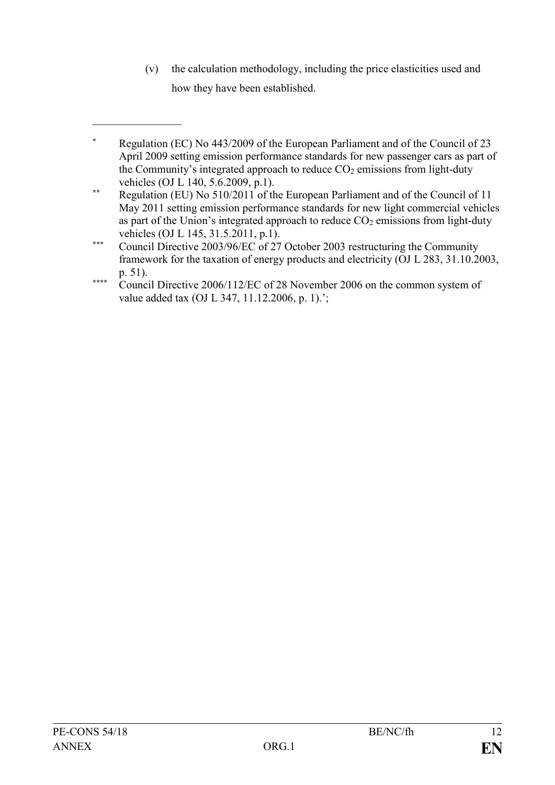(v) the calculation methodology, including the price elasticities used and how they have been established.

 $\frac{1}{2}$ 

**<sup>\*</sup>** Regulation (EC) No 443/2009 of the European Parliament and of the Council of 23 April 2009 setting emission performance standards for new passenger cars as part of the Community's integrated approach to reduce  $CO<sub>2</sub>$  emissions from light-duty vehicles (OJ L 140, 5.6.2009, p.1).

**<sup>\*\*</sup>** Regulation (EU) No 510/2011 of the European Parliament and of the Council of 11 May 2011 setting emission performance standards for new light commercial vehicles as part of the Union's integrated approach to reduce  $CO<sub>2</sub>$  emissions from light-duty vehicles (OJ L 145, 31.5.2011, p.1).

**<sup>\*\*\*</sup>** Council Directive 2003/96/EC of 27 October 2003 restructuring the Community framework for the taxation of energy products and electricity (OJ L 283, 31.10.2003, p. 51).

**<sup>\*\*\*\*</sup>** Council Directive 2006/112/EC of 28 November 2006 on the common system of value added tax (OJ L 347, 11.12.2006, p. 1).';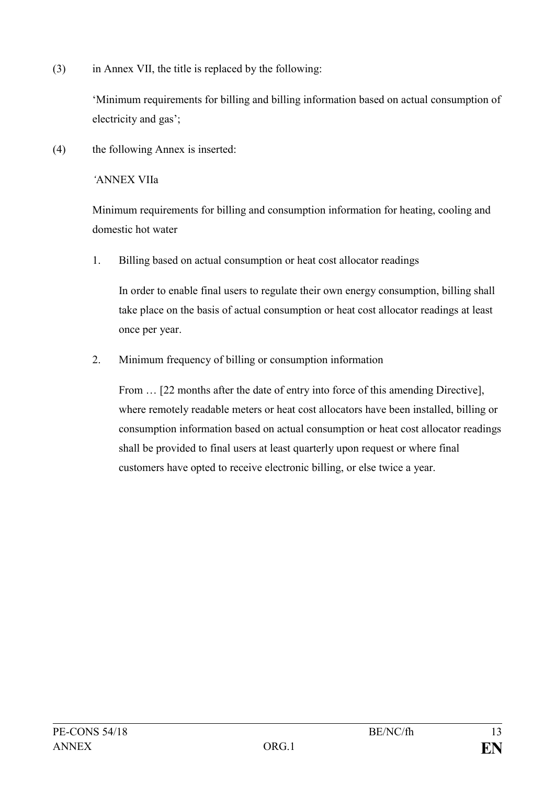(3) in Annex VII, the title is replaced by the following:

'Minimum requirements for billing and billing information based on actual consumption of electricity and gas';

(4) the following Annex is inserted:

*'*ANNEX VIIa

Minimum requirements for billing and consumption information for heating, cooling and domestic hot water

1. Billing based on actual consumption or heat cost allocator readings

In order to enable final users to regulate their own energy consumption, billing shall take place on the basis of actual consumption or heat cost allocator readings at least once per year.

2. Minimum frequency of billing or consumption information

From  $\ldots$  [22 months after the date of entry into force of this amending Directive], where remotely readable meters or heat cost allocators have been installed, billing or consumption information based on actual consumption or heat cost allocator readings shall be provided to final users at least quarterly upon request or where final customers have opted to receive electronic billing, or else twice a year.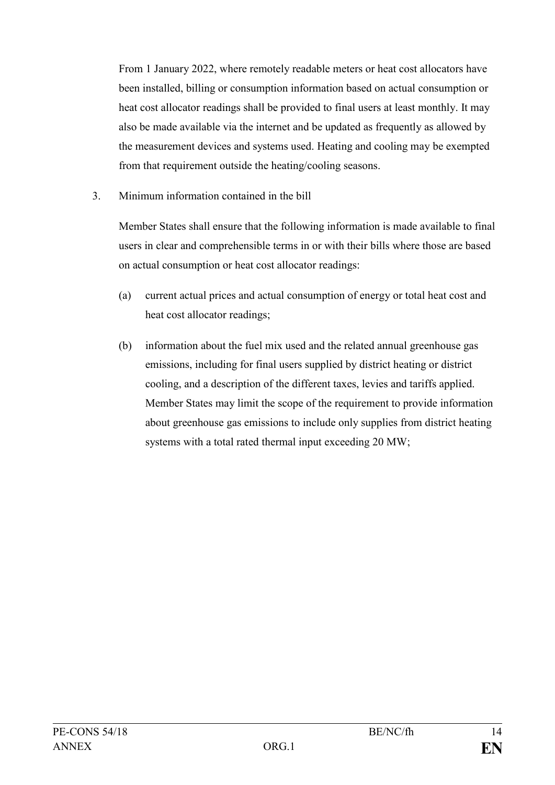From 1 January 2022, where remotely readable meters or heat cost allocators have been installed, billing or consumption information based on actual consumption or heat cost allocator readings shall be provided to final users at least monthly. It may also be made available via the internet and be updated as frequently as allowed by the measurement devices and systems used. Heating and cooling may be exempted from that requirement outside the heating/cooling seasons.

3. Minimum information contained in the bill

Member States shall ensure that the following information is made available to final users in clear and comprehensible terms in or with their bills where those are based on actual consumption or heat cost allocator readings:

- (a) current actual prices and actual consumption of energy or total heat cost and heat cost allocator readings;
- (b) information about the fuel mix used and the related annual greenhouse gas emissions, including for final users supplied by district heating or district cooling, and a description of the different taxes, levies and tariffs applied. Member States may limit the scope of the requirement to provide information about greenhouse gas emissions to include only supplies from district heating systems with a total rated thermal input exceeding 20 MW;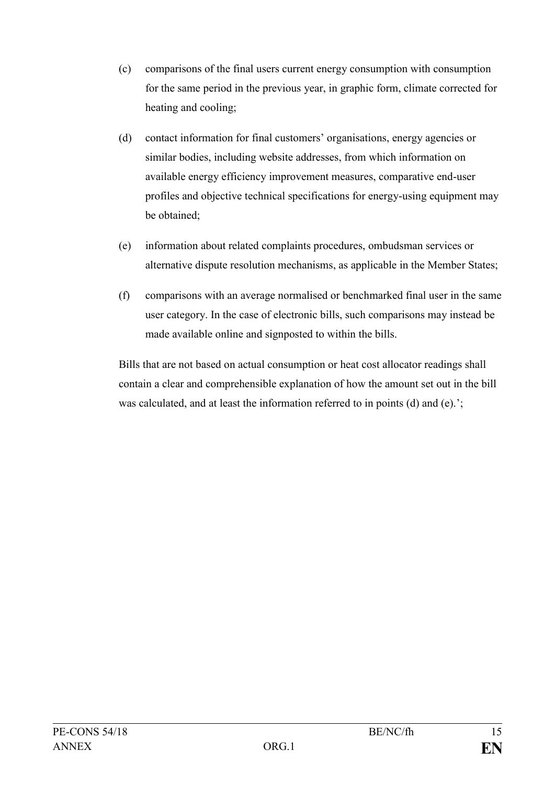- (c) comparisons of the final users current energy consumption with consumption for the same period in the previous year, in graphic form, climate corrected for heating and cooling;
- (d) contact information for final customers' organisations, energy agencies or similar bodies, including website addresses, from which information on available energy efficiency improvement measures, comparative end-user profiles and objective technical specifications for energy-using equipment may be obtained;
- (e) information about related complaints procedures, ombudsman services or alternative dispute resolution mechanisms, as applicable in the Member States;
- (f) comparisons with an average normalised or benchmarked final user in the same user category. In the case of electronic bills, such comparisons may instead be made available online and signposted to within the bills.

Bills that are not based on actual consumption or heat cost allocator readings shall contain a clear and comprehensible explanation of how the amount set out in the bill was calculated, and at least the information referred to in points (d) and (e).';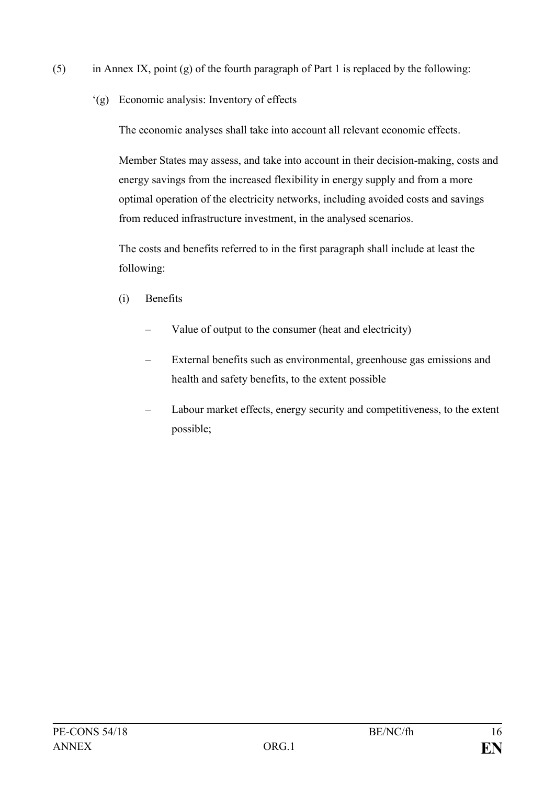- (5) in Annex IX, point (g) of the fourth paragraph of Part 1 is replaced by the following:
	- '(g) Economic analysis: Inventory of effects

The economic analyses shall take into account all relevant economic effects.

Member States may assess, and take into account in their decision-making, costs and energy savings from the increased flexibility in energy supply and from a more optimal operation of the electricity networks, including avoided costs and savings from reduced infrastructure investment, in the analysed scenarios.

The costs and benefits referred to in the first paragraph shall include at least the following:

- (i) Benefits
	- Value of output to the consumer (heat and electricity)
	- External benefits such as environmental, greenhouse gas emissions and health and safety benefits, to the extent possible
	- Labour market effects, energy security and competitiveness, to the extent possible;